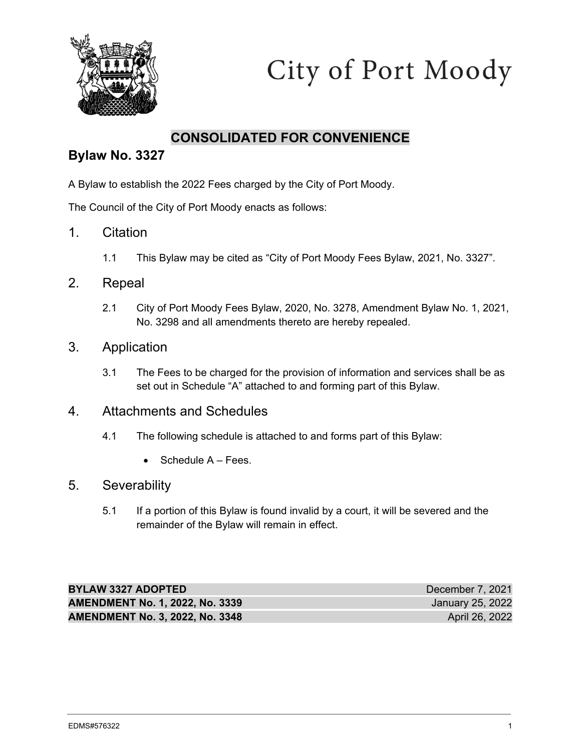

# City of Port Moody

### **CONSOLIDATED FOR CONVENIENCE**

### **Bylaw No. 3327**

A Bylaw to establish the 2022 Fees charged by the City of Port Moody.

The Council of the City of Port Moody enacts as follows:

- 1. Citation
	- 1.1 This Bylaw may be cited as "City of Port Moody Fees Bylaw, 2021, No. 3327".

### 2. Repeal

2.1 City of Port Moody Fees Bylaw, 2020, No. 3278, Amendment Bylaw No. 1, 2021, No. 3298 and all amendments thereto are hereby repealed.

### 3. Application

3.1 The Fees to be charged for the provision of information and services shall be as set out in Schedule "A" attached to and forming part of this Bylaw.

### 4. Attachments and Schedules

- 4.1 The following schedule is attached to and forms part of this Bylaw:
	- $\bullet$  Schedule  $A Fees$ .

### 5. Severability

5.1 If a portion of this Bylaw is found invalid by a court, it will be severed and the remainder of the Bylaw will remain in effect.

| <b>BYLAW 3327 ADOPTED</b>              | December 7, 2021 |
|----------------------------------------|------------------|
| <b>AMENDMENT No. 1, 2022, No. 3339</b> | January 25, 2022 |
| <b>AMENDMENT No. 3, 2022, No. 3348</b> | April 26, 2022   |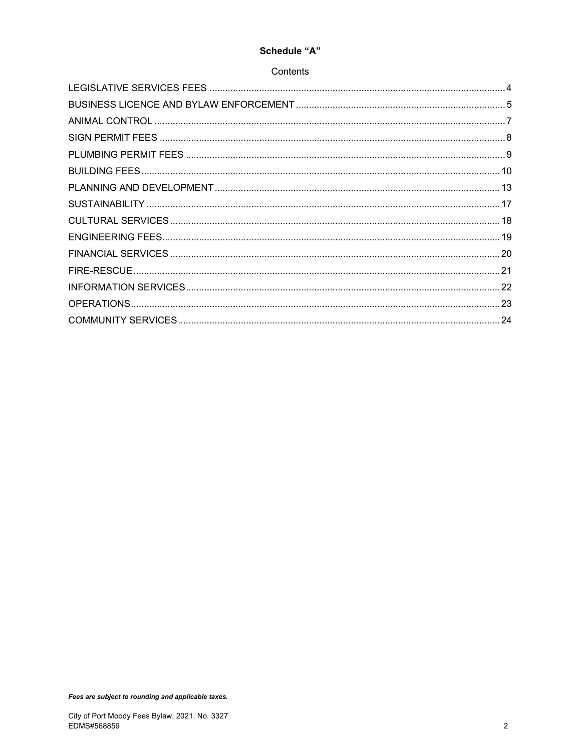#### Schedule "A"

#### Contents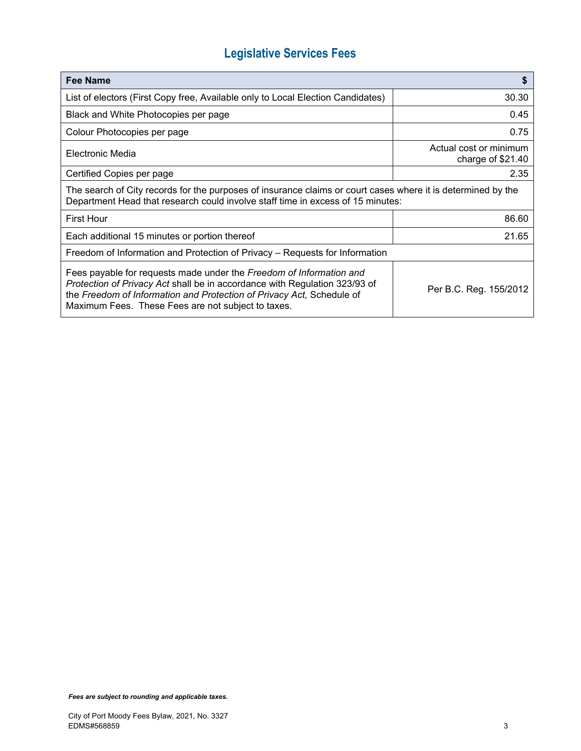# **Legislative Services Fees**

| Fee Name                                                                                                                                                                                                                                                                         | S                                           |  |
|----------------------------------------------------------------------------------------------------------------------------------------------------------------------------------------------------------------------------------------------------------------------------------|---------------------------------------------|--|
| List of electors (First Copy free, Available only to Local Election Candidates)                                                                                                                                                                                                  | 30.30                                       |  |
| Black and White Photocopies per page                                                                                                                                                                                                                                             | 0.45                                        |  |
| Colour Photocopies per page                                                                                                                                                                                                                                                      | 0.75                                        |  |
| Electronic Media                                                                                                                                                                                                                                                                 | Actual cost or minimum<br>charge of \$21.40 |  |
| Certified Copies per page                                                                                                                                                                                                                                                        | 2.35                                        |  |
| The search of City records for the purposes of insurance claims or court cases where it is determined by the<br>Department Head that research could involve staff time in excess of 15 minutes:                                                                                  |                                             |  |
| <b>First Hour</b>                                                                                                                                                                                                                                                                | 86.60                                       |  |
| Each additional 15 minutes or portion thereof                                                                                                                                                                                                                                    | 21.65                                       |  |
| Freedom of Information and Protection of Privacy – Requests for Information                                                                                                                                                                                                      |                                             |  |
| Fees payable for requests made under the Freedom of Information and<br>Protection of Privacy Act shall be in accordance with Regulation 323/93 of<br>the Freedom of Information and Protection of Privacy Act, Schedule of<br>Maximum Fees. These Fees are not subject to taxes. | Per B.C. Reg. 155/2012                      |  |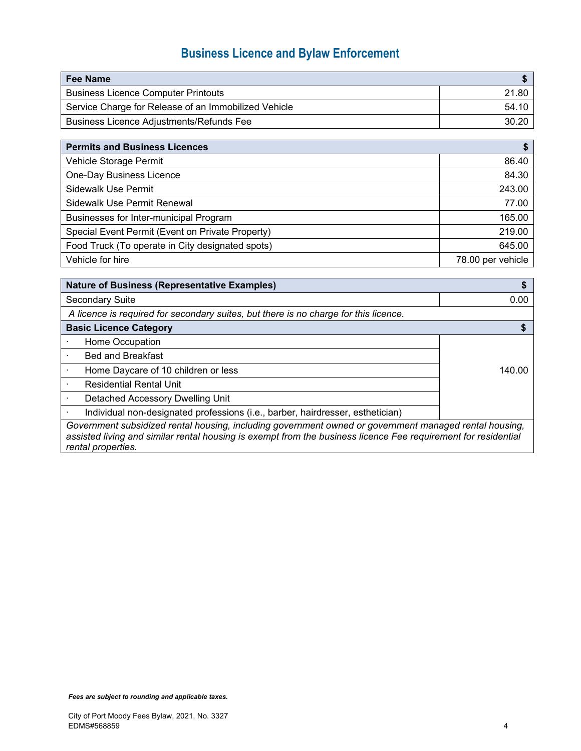# **Business Licence and Bylaw Enforcement**

| Fee Name                                             |       |
|------------------------------------------------------|-------|
| <b>Business Licence Computer Printouts</b>           | 21.80 |
| Service Charge for Release of an Immobilized Vehicle | 54.10 |
| <b>Business Licence Adjustments/Refunds Fee</b>      | 30.20 |

| <b>Permits and Business Licences</b>             |                   |
|--------------------------------------------------|-------------------|
| Vehicle Storage Permit                           | 86.40             |
| One-Day Business Licence                         | 84.30             |
| Sidewalk Use Permit                              | 243.00            |
| Sidewalk Use Permit Renewal                      | 77.00             |
| Businesses for Inter-municipal Program           | 165.00            |
| Special Event Permit (Event on Private Property) | 219.00            |
| Food Truck (To operate in City designated spots) | 645.00            |
| Vehicle for hire                                 | 78.00 per vehicle |

| <b>Nature of Business (Representative Examples)</b>                                                  |        |
|------------------------------------------------------------------------------------------------------|--------|
| <b>Secondary Suite</b>                                                                               | 0.00   |
| A licence is required for secondary suites, but there is no charge for this licence.                 |        |
| <b>Basic Licence Category</b>                                                                        |        |
| Home Occupation                                                                                      |        |
| <b>Bed and Breakfast</b>                                                                             |        |
| Home Daycare of 10 children or less                                                                  | 140.00 |
| <b>Residential Rental Unit</b>                                                                       |        |
| Detached Accessory Dwelling Unit                                                                     |        |
| Individual non-designated professions (i.e., barber, hairdresser, esthetician)                       |        |
| Covernment ouboidized rental bouging including sovemnent oursed as covernment monoged rental bouging |        |

*Government subsidized rental housing, including government owned or government managed rental housing, assisted living and similar rental housing is exempt from the business licence Fee requirement for residential rental properties.*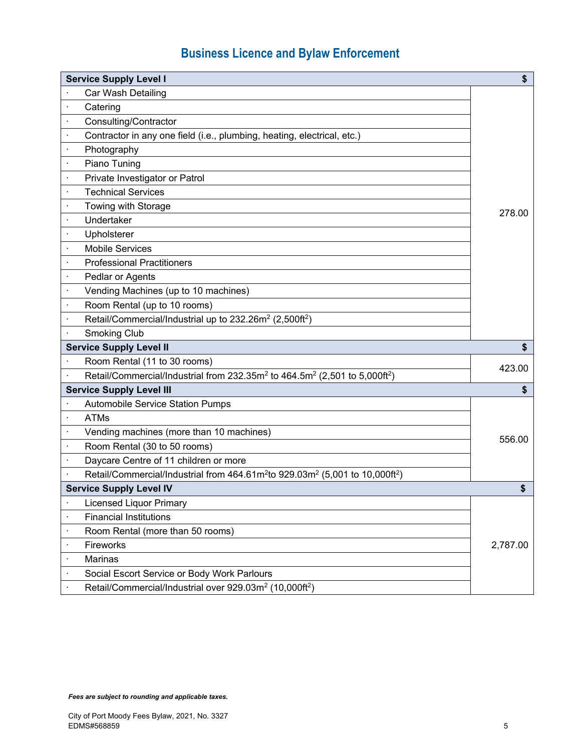# **Business Licence and Bylaw Enforcement**

| <b>Service Supply Level I</b>                                                                                    | \$       |  |
|------------------------------------------------------------------------------------------------------------------|----------|--|
| Car Wash Detailing                                                                                               |          |  |
| Catering                                                                                                         |          |  |
| Consulting/Contractor                                                                                            |          |  |
| Contractor in any one field (i.e., plumbing, heating, electrical, etc.)                                          |          |  |
| Photography<br>×                                                                                                 |          |  |
| Piano Tuning<br>$\cdot$                                                                                          |          |  |
| Private Investigator or Patrol<br>$\cdot$                                                                        |          |  |
| <b>Technical Services</b><br>$\cdot$                                                                             |          |  |
| Towing with Storage<br>$\cdot$                                                                                   |          |  |
| Undertaker<br>×                                                                                                  | 278.00   |  |
| Upholsterer                                                                                                      |          |  |
| <b>Mobile Services</b>                                                                                           |          |  |
| <b>Professional Practitioners</b>                                                                                |          |  |
| Pedlar or Agents<br>$\cdot$                                                                                      |          |  |
| Vending Machines (up to 10 machines)                                                                             |          |  |
| Room Rental (up to 10 rooms)                                                                                     |          |  |
| Retail/Commercial/Industrial up to 232.26m <sup>2</sup> (2,500ft <sup>2</sup> )                                  |          |  |
| <b>Smoking Club</b>                                                                                              |          |  |
| <b>Service Supply Level II</b>                                                                                   | \$       |  |
| Room Rental (11 to 30 rooms)                                                                                     | 423.00   |  |
| Retail/Commercial/Industrial from 232.35m <sup>2</sup> to 464.5m <sup>2</sup> (2,501 to 5,000ft <sup>2</sup> )   |          |  |
| <b>Service Supply Level III</b>                                                                                  | \$       |  |
| <b>Automobile Service Station Pumps</b>                                                                          |          |  |
| <b>ATMs</b>                                                                                                      |          |  |
| Vending machines (more than 10 machines)                                                                         | 556.00   |  |
| Room Rental (30 to 50 rooms)                                                                                     |          |  |
| Daycare Centre of 11 children or more                                                                            |          |  |
| Retail/Commercial/Industrial from 464.61m <sup>2</sup> to 929.03m <sup>2</sup> (5,001 to 10,000ft <sup>2</sup> ) |          |  |
| <b>Service Supply Level IV</b>                                                                                   | \$       |  |
| <b>Licensed Liquor Primary</b>                                                                                   |          |  |
| <b>Financial Institutions</b>                                                                                    |          |  |
| Room Rental (more than 50 rooms)                                                                                 |          |  |
| Fireworks                                                                                                        | 2,787.00 |  |
| Marinas                                                                                                          |          |  |
| Social Escort Service or Body Work Parlours                                                                      |          |  |
| Retail/Commercial/Industrial over 929.03m <sup>2</sup> (10,000ft <sup>2</sup> )                                  |          |  |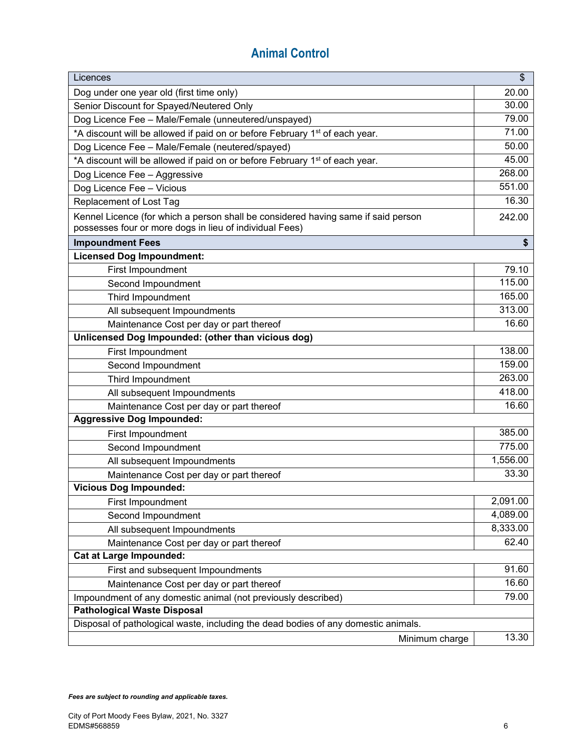# **Animal Control**

| Licences                                                                                                                                     | \$       |
|----------------------------------------------------------------------------------------------------------------------------------------------|----------|
| Dog under one year old (first time only)                                                                                                     | 20.00    |
| Senior Discount for Spayed/Neutered Only                                                                                                     | 30.00    |
| Dog Licence Fee - Male/Female (unneutered/unspayed)                                                                                          | 79.00    |
| *A discount will be allowed if paid on or before February 1 <sup>st</sup> of each year.                                                      | 71.00    |
| Dog Licence Fee - Male/Female (neutered/spayed)                                                                                              | 50.00    |
| *A discount will be allowed if paid on or before February 1 <sup>st</sup> of each year.                                                      | 45.00    |
| Dog Licence Fee - Aggressive                                                                                                                 | 268.00   |
| Dog Licence Fee - Vicious                                                                                                                    | 551.00   |
| Replacement of Lost Tag                                                                                                                      | 16.30    |
| Kennel Licence (for which a person shall be considered having same if said person<br>possesses four or more dogs in lieu of individual Fees) | 242.00   |
| <b>Impoundment Fees</b>                                                                                                                      | \$       |
| <b>Licensed Dog Impoundment:</b>                                                                                                             |          |
| First Impoundment                                                                                                                            | 79.10    |
| Second Impoundment                                                                                                                           | 115.00   |
| Third Impoundment                                                                                                                            | 165.00   |
| All subsequent Impoundments                                                                                                                  | 313.00   |
| Maintenance Cost per day or part thereof                                                                                                     | 16.60    |
| Unlicensed Dog Impounded: (other than vicious dog)                                                                                           |          |
| First Impoundment                                                                                                                            | 138.00   |
| Second Impoundment                                                                                                                           | 159.00   |
| Third Impoundment                                                                                                                            | 263.00   |
| All subsequent Impoundments                                                                                                                  | 418.00   |
| Maintenance Cost per day or part thereof                                                                                                     | 16.60    |
| <b>Aggressive Dog Impounded:</b>                                                                                                             |          |
| First Impoundment                                                                                                                            | 385.00   |
| Second Impoundment                                                                                                                           | 775.00   |
| All subsequent Impoundments                                                                                                                  | 1,556.00 |
| Maintenance Cost per day or part thereof                                                                                                     | 33.30    |
| <b>Vicious Dog Impounded:</b>                                                                                                                |          |
| First Impoundment                                                                                                                            | 2,091.00 |
| Second Impoundment                                                                                                                           | 4,089.00 |
| All subsequent Impoundments                                                                                                                  | 8,333.00 |
| Maintenance Cost per day or part thereof                                                                                                     | 62.40    |
| <b>Cat at Large Impounded:</b>                                                                                                               |          |
| First and subsequent Impoundments                                                                                                            | 91.60    |
| Maintenance Cost per day or part thereof                                                                                                     | 16.60    |
| Impoundment of any domestic animal (not previously described)                                                                                | 79.00    |
| <b>Pathological Waste Disposal</b>                                                                                                           |          |
| Disposal of pathological waste, including the dead bodies of any domestic animals.                                                           |          |
| Minimum charge                                                                                                                               | 13.30    |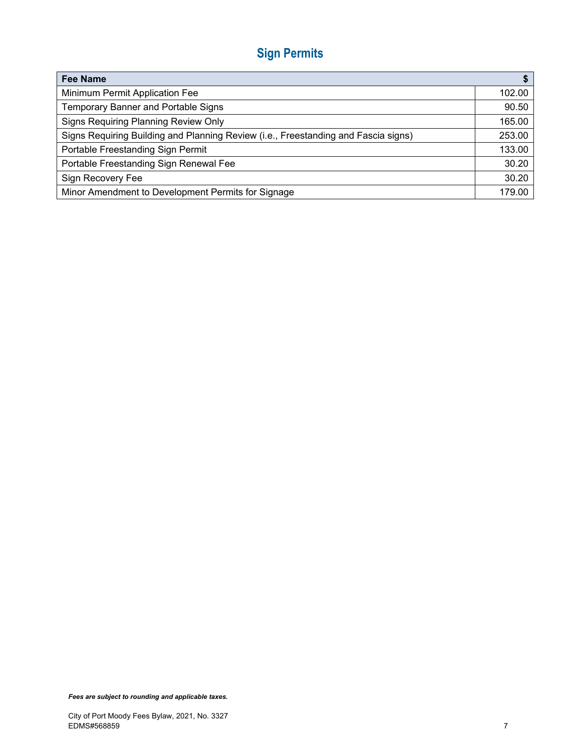# **Sign Permits**

| <b>Fee Name</b>                                                                    |        |
|------------------------------------------------------------------------------------|--------|
| Minimum Permit Application Fee                                                     | 102.00 |
| Temporary Banner and Portable Signs                                                | 90.50  |
| Signs Requiring Planning Review Only                                               | 165.00 |
| Signs Requiring Building and Planning Review (i.e., Freestanding and Fascia signs) | 253.00 |
| Portable Freestanding Sign Permit                                                  | 133.00 |
| Portable Freestanding Sign Renewal Fee                                             | 30.20  |
| Sign Recovery Fee                                                                  | 30.20  |
| Minor Amendment to Development Permits for Signage                                 | 179.00 |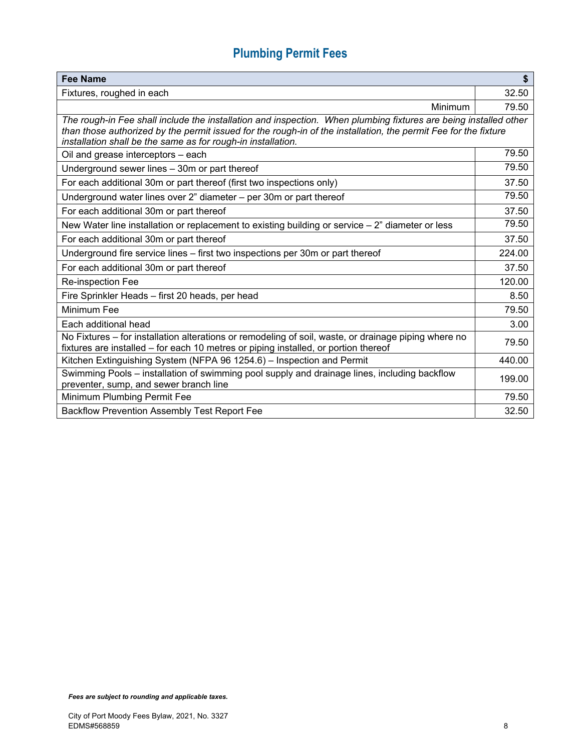# **Plumbing Permit Fees**

| Fee Name                                                                                                                                                                                                                                                                                            |        |
|-----------------------------------------------------------------------------------------------------------------------------------------------------------------------------------------------------------------------------------------------------------------------------------------------------|--------|
| Fixtures, roughed in each                                                                                                                                                                                                                                                                           | 32.50  |
| Minimum                                                                                                                                                                                                                                                                                             | 79.50  |
| The rough-in Fee shall include the installation and inspection. When plumbing fixtures are being installed other<br>than those authorized by the permit issued for the rough-in of the installation, the permit Fee for the fixture<br>installation shall be the same as for rough-in installation. |        |
| Oil and grease interceptors - each                                                                                                                                                                                                                                                                  | 79.50  |
| Underground sewer lines - 30m or part thereof                                                                                                                                                                                                                                                       | 79.50  |
| For each additional 30m or part thereof (first two inspections only)                                                                                                                                                                                                                                | 37.50  |
| Underground water lines over 2" diameter - per 30m or part thereof                                                                                                                                                                                                                                  | 79.50  |
| For each additional 30m or part thereof                                                                                                                                                                                                                                                             | 37.50  |
| New Water line installation or replacement to existing building or service - 2" diameter or less                                                                                                                                                                                                    | 79.50  |
| For each additional 30m or part thereof                                                                                                                                                                                                                                                             | 37.50  |
| Underground fire service lines - first two inspections per 30m or part thereof                                                                                                                                                                                                                      | 224.00 |
| For each additional 30m or part thereof                                                                                                                                                                                                                                                             | 37.50  |
| Re-inspection Fee                                                                                                                                                                                                                                                                                   | 120.00 |
| Fire Sprinkler Heads - first 20 heads, per head                                                                                                                                                                                                                                                     | 8.50   |
| Minimum Fee                                                                                                                                                                                                                                                                                         | 79.50  |
| Each additional head                                                                                                                                                                                                                                                                                | 3.00   |
| No Fixtures – for installation alterations or remodeling of soil, waste, or drainage piping where no<br>fixtures are installed - for each 10 metres or piping installed, or portion thereof                                                                                                         | 79.50  |
| Kitchen Extinguishing System (NFPA 96 1254.6) - Inspection and Permit                                                                                                                                                                                                                               | 440.00 |
| Swimming Pools - installation of swimming pool supply and drainage lines, including backflow<br>preventer, sump, and sewer branch line                                                                                                                                                              | 199.00 |
| Minimum Plumbing Permit Fee                                                                                                                                                                                                                                                                         | 79.50  |
| <b>Backflow Prevention Assembly Test Report Fee</b>                                                                                                                                                                                                                                                 | 32.50  |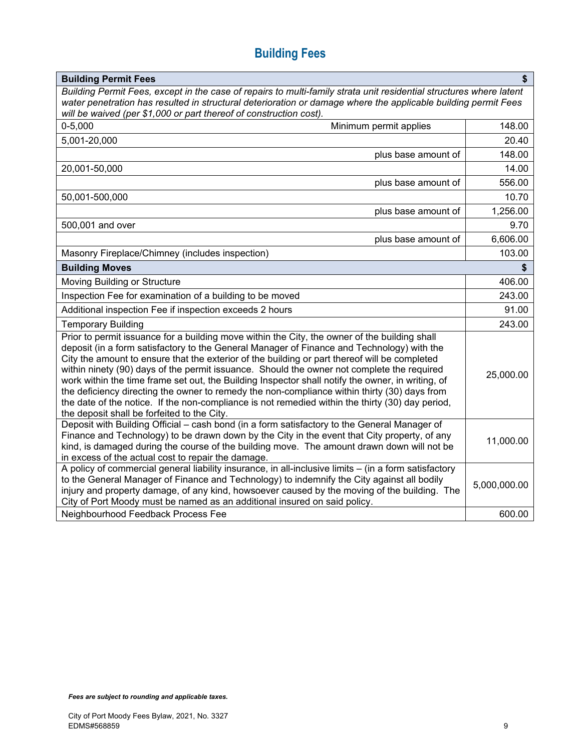# **Building Fees**

| <b>Building Permit Fees</b>                                                                                                                                                                                                                                                                                                                                                                                                                                                                                                                                                                                                                                                                                                                        | \$           |
|----------------------------------------------------------------------------------------------------------------------------------------------------------------------------------------------------------------------------------------------------------------------------------------------------------------------------------------------------------------------------------------------------------------------------------------------------------------------------------------------------------------------------------------------------------------------------------------------------------------------------------------------------------------------------------------------------------------------------------------------------|--------------|
| Building Permit Fees, except in the case of repairs to multi-family strata unit residential structures where latent<br>water penetration has resulted in structural deterioration or damage where the applicable building permit Fees<br>will be waived (per \$1,000 or part thereof of construction cost).                                                                                                                                                                                                                                                                                                                                                                                                                                        |              |
| $0 - 5,000$<br>Minimum permit applies                                                                                                                                                                                                                                                                                                                                                                                                                                                                                                                                                                                                                                                                                                              | 148.00       |
| 5,001-20,000                                                                                                                                                                                                                                                                                                                                                                                                                                                                                                                                                                                                                                                                                                                                       | 20.40        |
| plus base amount of                                                                                                                                                                                                                                                                                                                                                                                                                                                                                                                                                                                                                                                                                                                                | 148.00       |
| 20,001-50,000                                                                                                                                                                                                                                                                                                                                                                                                                                                                                                                                                                                                                                                                                                                                      | 14.00        |
| plus base amount of                                                                                                                                                                                                                                                                                                                                                                                                                                                                                                                                                                                                                                                                                                                                | 556.00       |
| 50,001-500,000                                                                                                                                                                                                                                                                                                                                                                                                                                                                                                                                                                                                                                                                                                                                     | 10.70        |
| plus base amount of                                                                                                                                                                                                                                                                                                                                                                                                                                                                                                                                                                                                                                                                                                                                | 1,256.00     |
| 500,001 and over                                                                                                                                                                                                                                                                                                                                                                                                                                                                                                                                                                                                                                                                                                                                   | 9.70         |
| plus base amount of                                                                                                                                                                                                                                                                                                                                                                                                                                                                                                                                                                                                                                                                                                                                | 6,606.00     |
| Masonry Fireplace/Chimney (includes inspection)                                                                                                                                                                                                                                                                                                                                                                                                                                                                                                                                                                                                                                                                                                    | 103.00       |
| <b>Building Moves</b>                                                                                                                                                                                                                                                                                                                                                                                                                                                                                                                                                                                                                                                                                                                              | \$           |
| Moving Building or Structure                                                                                                                                                                                                                                                                                                                                                                                                                                                                                                                                                                                                                                                                                                                       | 406.00       |
| Inspection Fee for examination of a building to be moved                                                                                                                                                                                                                                                                                                                                                                                                                                                                                                                                                                                                                                                                                           | 243.00       |
| Additional inspection Fee if inspection exceeds 2 hours                                                                                                                                                                                                                                                                                                                                                                                                                                                                                                                                                                                                                                                                                            | 91.00        |
| <b>Temporary Building</b>                                                                                                                                                                                                                                                                                                                                                                                                                                                                                                                                                                                                                                                                                                                          | 243.00       |
| Prior to permit issuance for a building move within the City, the owner of the building shall<br>deposit (in a form satisfactory to the General Manager of Finance and Technology) with the<br>City the amount to ensure that the exterior of the building or part thereof will be completed<br>within ninety (90) days of the permit issuance. Should the owner not complete the required<br>work within the time frame set out, the Building Inspector shall notify the owner, in writing, of<br>the deficiency directing the owner to remedy the non-compliance within thirty (30) days from<br>the date of the notice. If the non-compliance is not remedied within the thirty (30) day period,<br>the deposit shall be forfeited to the City. |              |
| Deposit with Building Official - cash bond (in a form satisfactory to the General Manager of<br>Finance and Technology) to be drawn down by the City in the event that City property, of any<br>kind, is damaged during the course of the building move. The amount drawn down will not be<br>in excess of the actual cost to repair the damage.                                                                                                                                                                                                                                                                                                                                                                                                   |              |
| A policy of commercial general liability insurance, in all-inclusive limits - (in a form satisfactory<br>to the General Manager of Finance and Technology) to indemnify the City against all bodily<br>injury and property damage, of any kind, howsoever caused by the moving of the building. The<br>City of Port Moody must be named as an additional insured on said policy.                                                                                                                                                                                                                                                                                                                                                                   | 5,000,000.00 |
| Neighbourhood Feedback Process Fee                                                                                                                                                                                                                                                                                                                                                                                                                                                                                                                                                                                                                                                                                                                 | 600.00       |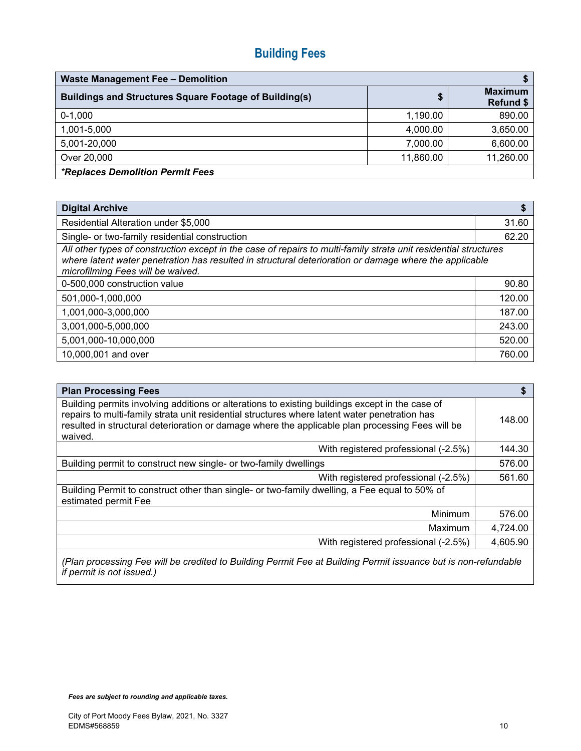# **Building Fees**

| <b>Waste Management Fee - Demolition</b>                      |           |                             |
|---------------------------------------------------------------|-----------|-----------------------------|
| <b>Buildings and Structures Square Footage of Building(s)</b> | \$        | <b>Maximum</b><br>Refund \$ |
| $0-1,000$                                                     | 1,190.00  | 890.00                      |
| 1,001-5,000                                                   | 4,000.00  | 3,650.00                    |
| 5,001-20,000                                                  | 7,000.00  | 6,600.00                    |
| Over 20,000                                                   | 11,860.00 | 11,260.00                   |
| <i><b>*Replaces Demolition Permit Fees</b></i>                |           |                             |

| <b>Digital Archive</b>                                                                                                                                                                                                                                          | \$     |
|-----------------------------------------------------------------------------------------------------------------------------------------------------------------------------------------------------------------------------------------------------------------|--------|
| Residential Alteration under \$5,000                                                                                                                                                                                                                            | 31.60  |
| Single- or two-family residential construction                                                                                                                                                                                                                  | 62.20  |
| All other types of construction except in the case of repairs to multi-family strata unit residential structures<br>where latent water penetration has resulted in structural deterioration or damage where the applicable<br>microfilming Fees will be waived. |        |
| 0-500,000 construction value                                                                                                                                                                                                                                    | 90.80  |
| 501,000-1,000,000                                                                                                                                                                                                                                               | 120.00 |
| 1,001,000-3,000,000                                                                                                                                                                                                                                             | 187.00 |
| 3,001,000-5,000,000                                                                                                                                                                                                                                             | 243.00 |
| 5,001,000-10,000,000                                                                                                                                                                                                                                            | 520.00 |
| 10,000,001 and over                                                                                                                                                                                                                                             | 760.00 |

| <b>Plan Processing Fees</b>                                                                                                                                                                                                                                                                                     | \$       |
|-----------------------------------------------------------------------------------------------------------------------------------------------------------------------------------------------------------------------------------------------------------------------------------------------------------------|----------|
| Building permits involving additions or alterations to existing buildings except in the case of<br>repairs to multi-family strata unit residential structures where latent water penetration has<br>resulted in structural deterioration or damage where the applicable plan processing Fees will be<br>waived. | 148.00   |
| With registered professional (-2.5%)                                                                                                                                                                                                                                                                            | 144.30   |
| Building permit to construct new single- or two-family dwellings                                                                                                                                                                                                                                                | 576.00   |
| With registered professional (-2.5%)                                                                                                                                                                                                                                                                            | 561.60   |
| Building Permit to construct other than single- or two-family dwelling, a Fee equal to 50% of<br>estimated permit Fee                                                                                                                                                                                           |          |
| Minimum                                                                                                                                                                                                                                                                                                         | 576.00   |
| Maximum                                                                                                                                                                                                                                                                                                         | 4,724.00 |
| With registered professional (-2.5%)                                                                                                                                                                                                                                                                            | 4,605.90 |

*(Plan processing Fee will be credited to Building Permit Fee at Building Permit issuance but is non-refundable if permit is not issued.)*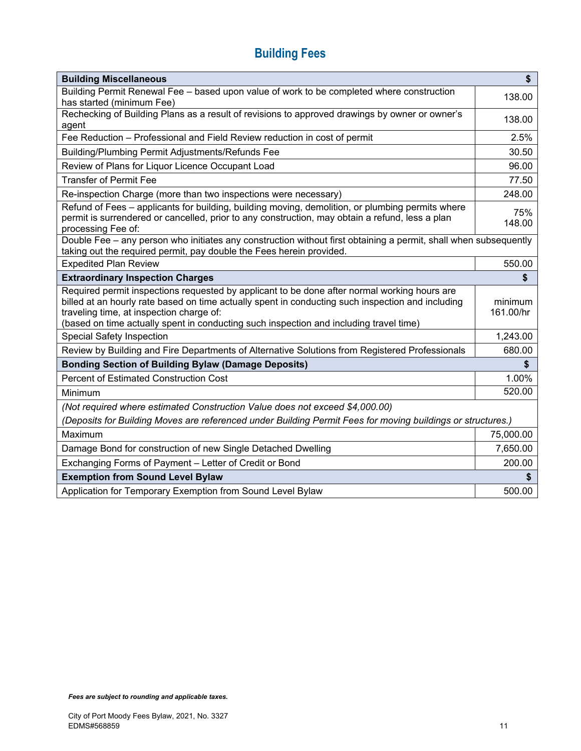# **Building Fees**

| <b>Building Miscellaneous</b>                                                                                                                                                                                                                                                                                                           | \$                   |
|-----------------------------------------------------------------------------------------------------------------------------------------------------------------------------------------------------------------------------------------------------------------------------------------------------------------------------------------|----------------------|
| Building Permit Renewal Fee - based upon value of work to be completed where construction<br>has started (minimum Fee)                                                                                                                                                                                                                  | 138.00               |
| Rechecking of Building Plans as a result of revisions to approved drawings by owner or owner's<br>agent                                                                                                                                                                                                                                 | 138.00               |
| Fee Reduction - Professional and Field Review reduction in cost of permit                                                                                                                                                                                                                                                               | 2.5%                 |
| Building/Plumbing Permit Adjustments/Refunds Fee                                                                                                                                                                                                                                                                                        | 30.50                |
| Review of Plans for Liquor Licence Occupant Load                                                                                                                                                                                                                                                                                        | 96.00                |
| <b>Transfer of Permit Fee</b>                                                                                                                                                                                                                                                                                                           | 77.50                |
| Re-inspection Charge (more than two inspections were necessary)                                                                                                                                                                                                                                                                         | 248.00               |
| Refund of Fees - applicants for building, building moving, demolition, or plumbing permits where<br>permit is surrendered or cancelled, prior to any construction, may obtain a refund, less a plan<br>processing Fee of:                                                                                                               | 75%<br>148.00        |
| Double Fee - any person who initiates any construction without first obtaining a permit, shall when subsequently<br>taking out the required permit, pay double the Fees herein provided.                                                                                                                                                |                      |
| <b>Expedited Plan Review</b>                                                                                                                                                                                                                                                                                                            | 550.00               |
| <b>Extraordinary Inspection Charges</b>                                                                                                                                                                                                                                                                                                 | \$                   |
| Required permit inspections requested by applicant to be done after normal working hours are<br>billed at an hourly rate based on time actually spent in conducting such inspection and including<br>traveling time, at inspection charge of:<br>(based on time actually spent in conducting such inspection and including travel time) | minimum<br>161.00/hr |
| <b>Special Safety Inspection</b>                                                                                                                                                                                                                                                                                                        | 1,243.00             |
| Review by Building and Fire Departments of Alternative Solutions from Registered Professionals                                                                                                                                                                                                                                          | 680.00               |
| <b>Bonding Section of Building Bylaw (Damage Deposits)</b>                                                                                                                                                                                                                                                                              | \$                   |
| <b>Percent of Estimated Construction Cost</b>                                                                                                                                                                                                                                                                                           | 1.00%                |
| <b>Minimum</b>                                                                                                                                                                                                                                                                                                                          | 520.00               |
| (Not required where estimated Construction Value does not exceed \$4,000.00)                                                                                                                                                                                                                                                            |                      |
| (Deposits for Building Moves are referenced under Building Permit Fees for moving buildings or structures.)                                                                                                                                                                                                                             |                      |
| Maximum                                                                                                                                                                                                                                                                                                                                 | 75,000.00            |
| Damage Bond for construction of new Single Detached Dwelling                                                                                                                                                                                                                                                                            | 7,650.00             |
| Exchanging Forms of Payment - Letter of Credit or Bond                                                                                                                                                                                                                                                                                  | 200.00               |
| <b>Exemption from Sound Level Bylaw</b>                                                                                                                                                                                                                                                                                                 |                      |
| Application for Temporary Exemption from Sound Level Bylaw                                                                                                                                                                                                                                                                              | 500.00               |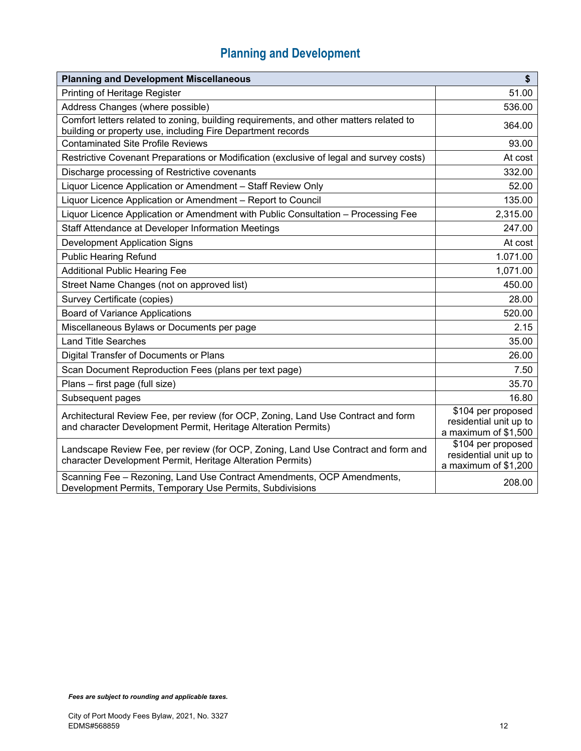| <b>Planning and Development Miscellaneous</b>                                                                                                         | \$                                                                   |
|-------------------------------------------------------------------------------------------------------------------------------------------------------|----------------------------------------------------------------------|
| Printing of Heritage Register                                                                                                                         | 51.00                                                                |
| Address Changes (where possible)                                                                                                                      | 536.00                                                               |
| Comfort letters related to zoning, building requirements, and other matters related to<br>building or property use, including Fire Department records | 364.00                                                               |
| <b>Contaminated Site Profile Reviews</b>                                                                                                              | 93.00                                                                |
| Restrictive Covenant Preparations or Modification (exclusive of legal and survey costs)                                                               | At cost                                                              |
| Discharge processing of Restrictive covenants                                                                                                         | 332.00                                                               |
| Liquor Licence Application or Amendment - Staff Review Only                                                                                           | 52.00                                                                |
| Liquor Licence Application or Amendment - Report to Council                                                                                           | 135.00                                                               |
| Liquor Licence Application or Amendment with Public Consultation - Processing Fee                                                                     | 2,315.00                                                             |
| Staff Attendance at Developer Information Meetings                                                                                                    | 247.00                                                               |
| <b>Development Application Signs</b>                                                                                                                  | At cost                                                              |
| <b>Public Hearing Refund</b>                                                                                                                          | 1.071.00                                                             |
| <b>Additional Public Hearing Fee</b>                                                                                                                  | 1,071.00                                                             |
| Street Name Changes (not on approved list)                                                                                                            | 450.00                                                               |
| Survey Certificate (copies)                                                                                                                           | 28.00                                                                |
| <b>Board of Variance Applications</b>                                                                                                                 | 520.00                                                               |
| Miscellaneous Bylaws or Documents per page                                                                                                            | 2.15                                                                 |
| <b>Land Title Searches</b>                                                                                                                            | 35.00                                                                |
| Digital Transfer of Documents or Plans                                                                                                                | 26.00                                                                |
| Scan Document Reproduction Fees (plans per text page)                                                                                                 | 7.50                                                                 |
| Plans - first page (full size)                                                                                                                        | 35.70                                                                |
| Subsequent pages                                                                                                                                      | 16.80                                                                |
| Architectural Review Fee, per review (for OCP, Zoning, Land Use Contract and form<br>and character Development Permit, Heritage Alteration Permits)   | \$104 per proposed<br>residential unit up to<br>a maximum of \$1,500 |
| Landscape Review Fee, per review (for OCP, Zoning, Land Use Contract and form and<br>character Development Permit, Heritage Alteration Permits)       | \$104 per proposed<br>residential unit up to<br>a maximum of \$1,200 |
| Scanning Fee - Rezoning, Land Use Contract Amendments, OCP Amendments,<br>Development Permits, Temporary Use Permits, Subdivisions                    | 208.00                                                               |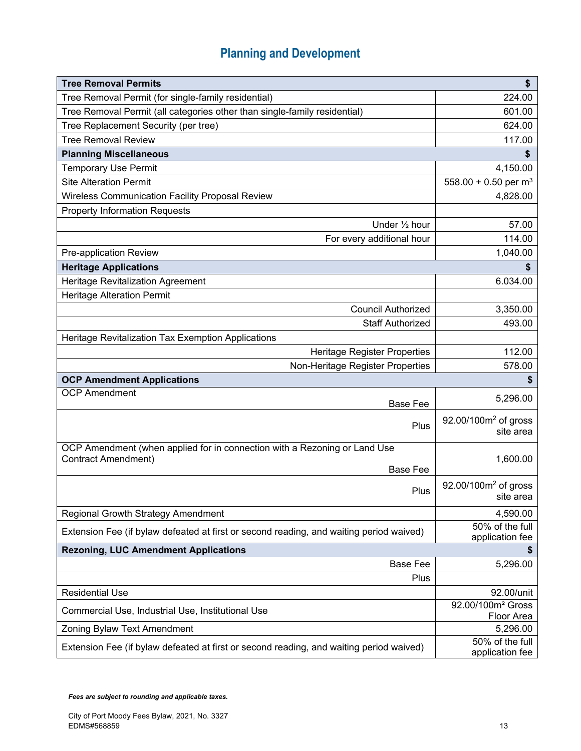| <b>Tree Removal Permits</b>                                                             | \$                                            |
|-----------------------------------------------------------------------------------------|-----------------------------------------------|
| Tree Removal Permit (for single-family residential)                                     | 224.00                                        |
| Tree Removal Permit (all categories other than single-family residential)               | 601.00                                        |
| Tree Replacement Security (per tree)                                                    | 624.00                                        |
| <b>Tree Removal Review</b>                                                              | 117.00                                        |
| <b>Planning Miscellaneous</b>                                                           | \$                                            |
| <b>Temporary Use Permit</b>                                                             | 4,150.00                                      |
| <b>Site Alteration Permit</b>                                                           | 558.00 + 0.50 per $m3$                        |
| Wireless Communication Facility Proposal Review                                         | 4,828.00                                      |
| <b>Property Information Requests</b>                                                    |                                               |
| Under 1/2 hour                                                                          | 57.00                                         |
| For every additional hour                                                               | 114.00                                        |
| Pre-application Review                                                                  | 1,040.00                                      |
| <b>Heritage Applications</b>                                                            |                                               |
| Heritage Revitalization Agreement                                                       | 6.034.00                                      |
| <b>Heritage Alteration Permit</b>                                                       |                                               |
| <b>Council Authorized</b>                                                               | 3,350.00                                      |
| <b>Staff Authorized</b>                                                                 | 493.00                                        |
| Heritage Revitalization Tax Exemption Applications                                      |                                               |
| <b>Heritage Register Properties</b>                                                     | 112.00                                        |
| Non-Heritage Register Properties                                                        | 578.00                                        |
| <b>OCP Amendment Applications</b>                                                       | \$                                            |
| <b>OCP Amendment</b><br><b>Base Fee</b>                                                 | 5,296.00                                      |
| Plus                                                                                    | 92.00/100m <sup>2</sup> of gross<br>site area |
| OCP Amendment (when applied for in connection with a Rezoning or Land Use               |                                               |
| <b>Contract Amendment)</b><br><b>Base Fee</b>                                           | 1,600.00                                      |
|                                                                                         | $92.00/100m2$ of gross                        |
| Plus                                                                                    | site area                                     |
| Regional Growth Strategy Amendment                                                      | 4,590.00                                      |
| Extension Fee (if bylaw defeated at first or second reading, and waiting period waived) | 50% of the full<br>application fee            |
| <b>Rezoning, LUC Amendment Applications</b>                                             | \$                                            |
| <b>Base Fee</b>                                                                         | 5,296.00                                      |
| Plus                                                                                    |                                               |
| <b>Residential Use</b>                                                                  | 92.00/unit                                    |
| Commercial Use, Industrial Use, Institutional Use                                       | 92.00/100m <sup>2</sup> Gross<br>Floor Area   |
| Zoning Bylaw Text Amendment                                                             | 5,296.00                                      |
| Extension Fee (if bylaw defeated at first or second reading, and waiting period waived) | 50% of the full<br>application fee            |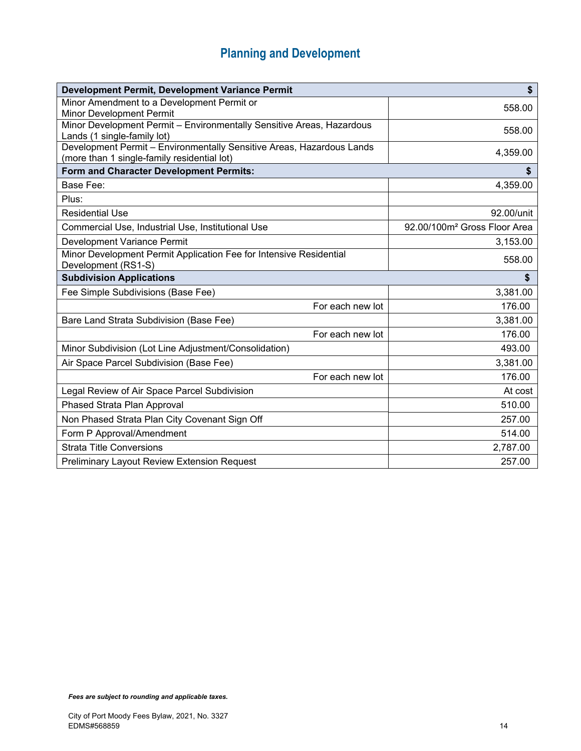| Development Permit, Development Variance Permit                                                                      | $\boldsymbol{\$}$                        |
|----------------------------------------------------------------------------------------------------------------------|------------------------------------------|
| Minor Amendment to a Development Permit or<br><b>Minor Development Permit</b>                                        | 558.00                                   |
| Minor Development Permit - Environmentally Sensitive Areas, Hazardous                                                |                                          |
| Lands (1 single-family lot)                                                                                          | 558.00                                   |
| Development Permit - Environmentally Sensitive Areas, Hazardous Lands<br>(more than 1 single-family residential lot) | 4,359.00                                 |
| Form and Character Development Permits:                                                                              | \$                                       |
| Base Fee:                                                                                                            | 4,359.00                                 |
| Plus:                                                                                                                |                                          |
| <b>Residential Use</b>                                                                                               | 92.00/unit                               |
| Commercial Use, Industrial Use, Institutional Use                                                                    | 92.00/100m <sup>2</sup> Gross Floor Area |
| Development Variance Permit                                                                                          | 3,153.00                                 |
| Minor Development Permit Application Fee for Intensive Residential<br>Development (RS1-S)                            | 558.00                                   |
| <b>Subdivision Applications</b>                                                                                      | \$                                       |
| Fee Simple Subdivisions (Base Fee)                                                                                   | 3,381.00                                 |
| For each new lot                                                                                                     | 176.00                                   |
| Bare Land Strata Subdivision (Base Fee)                                                                              | 3,381.00                                 |
| For each new lot                                                                                                     | 176.00                                   |
| Minor Subdivision (Lot Line Adjustment/Consolidation)                                                                | 493.00                                   |
| Air Space Parcel Subdivision (Base Fee)                                                                              | 3,381.00                                 |
| For each new lot                                                                                                     | 176.00                                   |
| Legal Review of Air Space Parcel Subdivision                                                                         | At cost                                  |
| Phased Strata Plan Approval                                                                                          | 510.00                                   |
| Non Phased Strata Plan City Covenant Sign Off                                                                        | 257.00                                   |
| Form P Approval/Amendment                                                                                            | 514.00                                   |
| <b>Strata Title Conversions</b>                                                                                      | 2,787.00                                 |
| <b>Preliminary Layout Review Extension Request</b>                                                                   | 257.00                                   |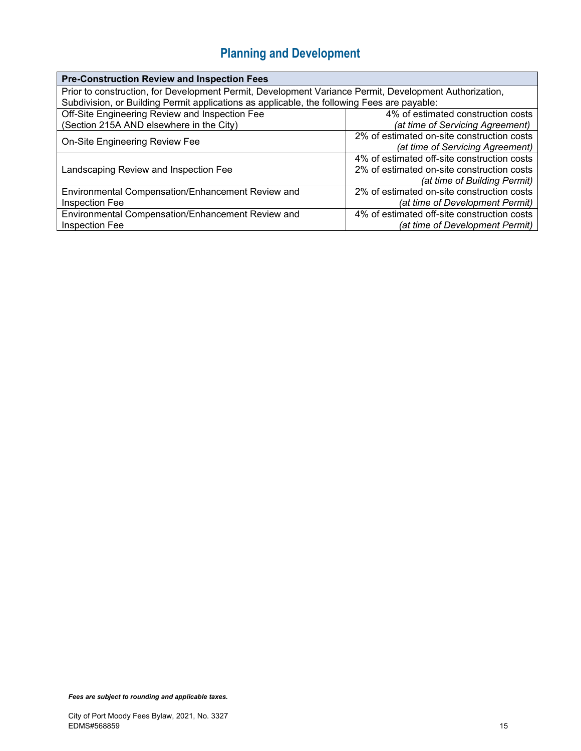| <b>Pre-Construction Review and Inspection Fees</b>                                                     |                                             |  |
|--------------------------------------------------------------------------------------------------------|---------------------------------------------|--|
| Prior to construction, for Development Permit, Development Variance Permit, Development Authorization, |                                             |  |
| Subdivision, or Building Permit applications as applicable, the following Fees are payable:            |                                             |  |
| Off-Site Engineering Review and Inspection Fee                                                         | 4% of estimated construction costs          |  |
| (Section 215A AND elsewhere in the City)                                                               | (at time of Servicing Agreement)            |  |
|                                                                                                        | 2% of estimated on-site construction costs  |  |
| On-Site Engineering Review Fee                                                                         | (at time of Servicing Agreement)            |  |
|                                                                                                        | 4% of estimated off-site construction costs |  |
| Landscaping Review and Inspection Fee                                                                  | 2% of estimated on-site construction costs  |  |
|                                                                                                        | (at time of Building Permit)                |  |
| Environmental Compensation/Enhancement Review and                                                      | 2% of estimated on-site construction costs  |  |
| Inspection Fee                                                                                         | (at time of Development Permit)             |  |
| Environmental Compensation/Enhancement Review and                                                      | 4% of estimated off-site construction costs |  |
| Inspection Fee                                                                                         | (at time of Development Permit)             |  |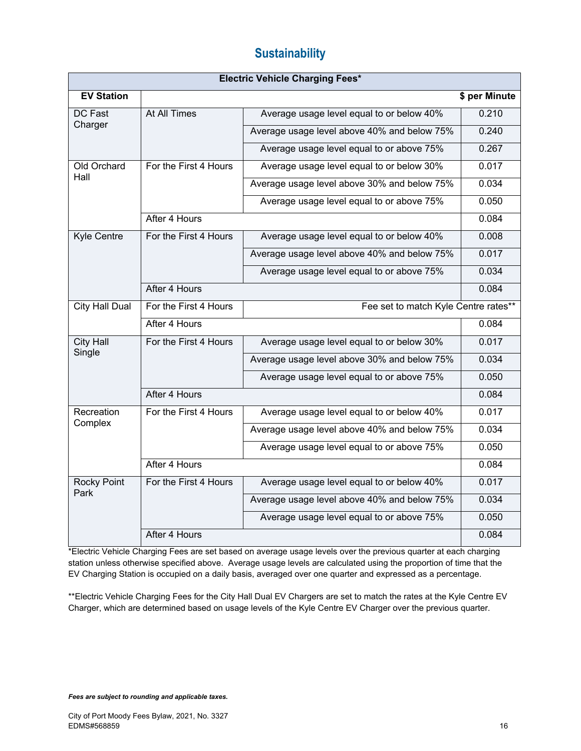### **Sustainability**

| <b>Electric Vehicle Charging Fees*</b> |                       |                                             |               |
|----------------------------------------|-----------------------|---------------------------------------------|---------------|
| <b>EV Station</b>                      |                       |                                             | \$ per Minute |
| DC Fast                                | At All Times          | Average usage level equal to or below 40%   | 0.210         |
| Charger                                |                       | Average usage level above 40% and below 75% | 0.240         |
|                                        |                       | Average usage level equal to or above 75%   | 0.267         |
| Old Orchard                            | For the First 4 Hours | Average usage level equal to or below 30%   | 0.017         |
| Hall                                   |                       | Average usage level above 30% and below 75% | 0.034         |
|                                        |                       | Average usage level equal to or above 75%   | 0.050         |
|                                        | After 4 Hours         |                                             | 0.084         |
| Kyle Centre                            | For the First 4 Hours | Average usage level equal to or below 40%   | 0.008         |
|                                        |                       | Average usage level above 40% and below 75% | 0.017         |
|                                        |                       | Average usage level equal to or above 75%   | 0.034         |
|                                        | After 4 Hours         |                                             | 0.084         |
| <b>City Hall Dual</b>                  | For the First 4 Hours | Fee set to match Kyle Centre rates**        |               |
|                                        | After 4 Hours         |                                             | 0.084         |
| <b>City Hall</b>                       | For the First 4 Hours | Average usage level equal to or below 30%   | 0.017         |
| Single                                 |                       | Average usage level above 30% and below 75% | 0.034         |
|                                        |                       | Average usage level equal to or above 75%   | 0.050         |
|                                        | After 4 Hours         |                                             | 0.084         |
| Recreation                             | For the First 4 Hours | Average usage level equal to or below 40%   | 0.017         |
| Complex                                |                       | Average usage level above 40% and below 75% | 0.034         |
|                                        |                       | Average usage level equal to or above 75%   | 0.050         |
|                                        | After 4 Hours         |                                             | 0.084         |
| <b>Rocky Point</b>                     | For the First 4 Hours | Average usage level equal to or below 40%   | 0.017         |
| Park                                   |                       | Average usage level above 40% and below 75% | 0.034         |
|                                        |                       | Average usage level equal to or above 75%   | 0.050         |
|                                        | After 4 Hours         |                                             | 0.084         |

\*Electric Vehicle Charging Fees are set based on average usage levels over the previous quarter at each charging station unless otherwise specified above. Average usage levels are calculated using the proportion of time that the EV Charging Station is occupied on a daily basis, averaged over one quarter and expressed as a percentage.

\*\*Electric Vehicle Charging Fees for the City Hall Dual EV Chargers are set to match the rates at the Kyle Centre EV Charger, which are determined based on usage levels of the Kyle Centre EV Charger over the previous quarter.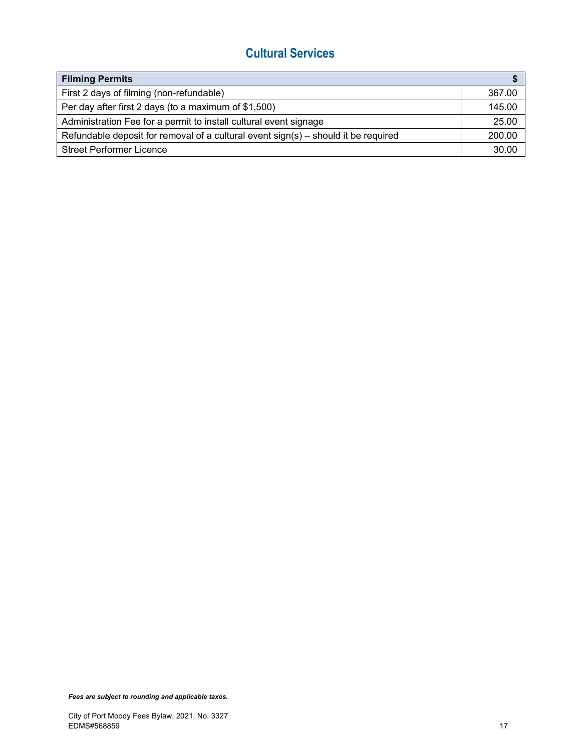### **Cultural Services**

| <b>Filming Permits</b>                                                               |        |
|--------------------------------------------------------------------------------------|--------|
| First 2 days of filming (non-refundable)                                             | 367.00 |
| Per day after first 2 days (to a maximum of \$1,500)                                 | 145.00 |
| Administration Fee for a permit to install cultural event signage                    | 25.00  |
| Refundable deposit for removal of a cultural event $sign(s)$ – should it be required | 200.00 |
| <b>Street Performer Licence</b>                                                      | 30.00  |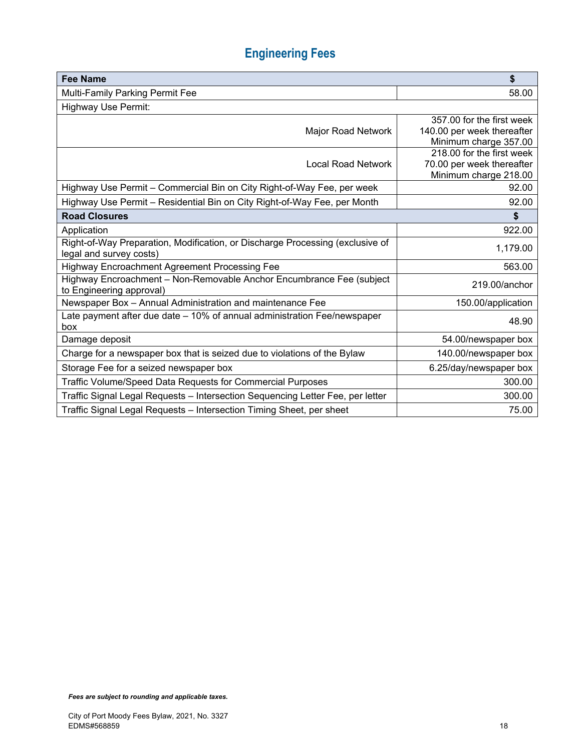# **Engineering Fees**

| <b>Fee Name</b>                                                                                  | \$                                                 |
|--------------------------------------------------------------------------------------------------|----------------------------------------------------|
| Multi-Family Parking Permit Fee                                                                  | 58.00                                              |
| <b>Highway Use Permit:</b>                                                                       |                                                    |
|                                                                                                  | 357.00 for the first week                          |
| Major Road Network                                                                               | 140.00 per week thereafter                         |
|                                                                                                  | Minimum charge 357.00                              |
| <b>Local Road Network</b>                                                                        | 218.00 for the first week                          |
|                                                                                                  | 70.00 per week thereafter<br>Minimum charge 218.00 |
| Highway Use Permit - Commercial Bin on City Right-of-Way Fee, per week                           | 92.00                                              |
| Highway Use Permit - Residential Bin on City Right-of-Way Fee, per Month                         | 92.00                                              |
| <b>Road Closures</b>                                                                             | \$                                                 |
| Application                                                                                      | 922.00                                             |
| Right-of-Way Preparation, Modification, or Discharge Processing (exclusive of                    | 1,179.00                                           |
| legal and survey costs)                                                                          |                                                    |
| Highway Encroachment Agreement Processing Fee                                                    | 563.00                                             |
| Highway Encroachment - Non-Removable Anchor Encumbrance Fee (subject<br>to Engineering approval) | 219.00/anchor                                      |
| Newspaper Box - Annual Administration and maintenance Fee                                        | 150.00/application                                 |
| Late payment after due date - 10% of annual administration Fee/newspaper<br>box                  | 48.90                                              |
| Damage deposit                                                                                   | 54.00/newspaper box                                |
| Charge for a newspaper box that is seized due to violations of the Bylaw                         | 140.00/newspaper box                               |
| Storage Fee for a seized newspaper box                                                           | 6.25/day/newspaper box                             |
| Traffic Volume/Speed Data Requests for Commercial Purposes                                       | 300.00                                             |
| Traffic Signal Legal Requests - Intersection Sequencing Letter Fee, per letter                   | 300.00                                             |
| Traffic Signal Legal Requests - Intersection Timing Sheet, per sheet                             | 75.00                                              |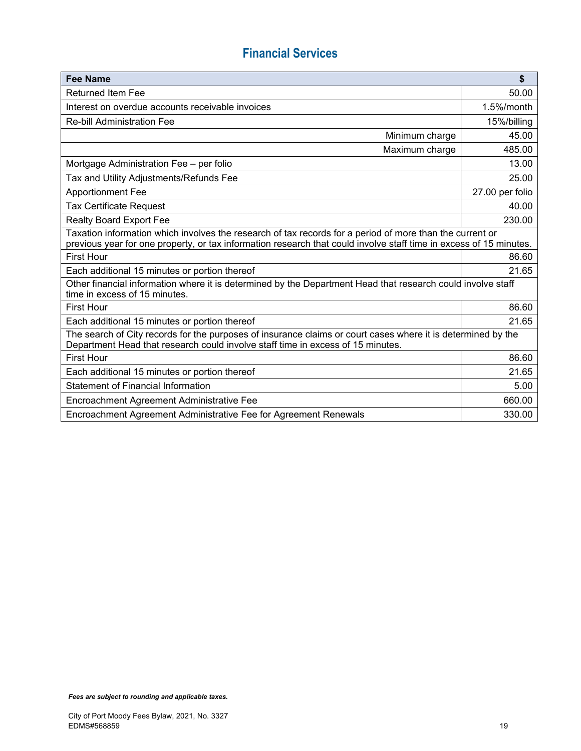## **Financial Services**

| <b>Fee Name</b>                                                                                                                                                                                                                | $\boldsymbol{\mathsf{s}}$ |  |
|--------------------------------------------------------------------------------------------------------------------------------------------------------------------------------------------------------------------------------|---------------------------|--|
| <b>Returned Item Fee</b>                                                                                                                                                                                                       | 50.00                     |  |
| Interest on overdue accounts receivable invoices                                                                                                                                                                               | 1.5%/month                |  |
| <b>Re-bill Administration Fee</b>                                                                                                                                                                                              | 15%/billing               |  |
| Minimum charge                                                                                                                                                                                                                 | 45.00                     |  |
| Maximum charge                                                                                                                                                                                                                 | 485.00                    |  |
| Mortgage Administration Fee - per folio                                                                                                                                                                                        | 13.00                     |  |
| Tax and Utility Adjustments/Refunds Fee                                                                                                                                                                                        | 25.00                     |  |
| <b>Apportionment Fee</b>                                                                                                                                                                                                       | 27.00 per folio           |  |
| <b>Tax Certificate Request</b>                                                                                                                                                                                                 | 40.00                     |  |
| <b>Realty Board Export Fee</b>                                                                                                                                                                                                 | 230.00                    |  |
| Taxation information which involves the research of tax records for a period of more than the current or<br>previous year for one property, or tax information research that could involve staff time in excess of 15 minutes. |                           |  |
| <b>First Hour</b>                                                                                                                                                                                                              | 86.60                     |  |
| Each additional 15 minutes or portion thereof                                                                                                                                                                                  | 21.65                     |  |
| Other financial information where it is determined by the Department Head that research could involve staff<br>time in excess of 15 minutes.                                                                                   |                           |  |
| <b>First Hour</b>                                                                                                                                                                                                              | 86.60                     |  |
| Each additional 15 minutes or portion thereof                                                                                                                                                                                  | 21.65                     |  |
| The search of City records for the purposes of insurance claims or court cases where it is determined by the<br>Department Head that research could involve staff time in excess of 15 minutes.                                |                           |  |
| <b>First Hour</b>                                                                                                                                                                                                              | 86.60                     |  |
| Each additional 15 minutes or portion thereof                                                                                                                                                                                  | 21.65                     |  |
| <b>Statement of Financial Information</b>                                                                                                                                                                                      | 5.00                      |  |
| Encroachment Agreement Administrative Fee                                                                                                                                                                                      | 660.00                    |  |
| Encroachment Agreement Administrative Fee for Agreement Renewals                                                                                                                                                               | 330.00                    |  |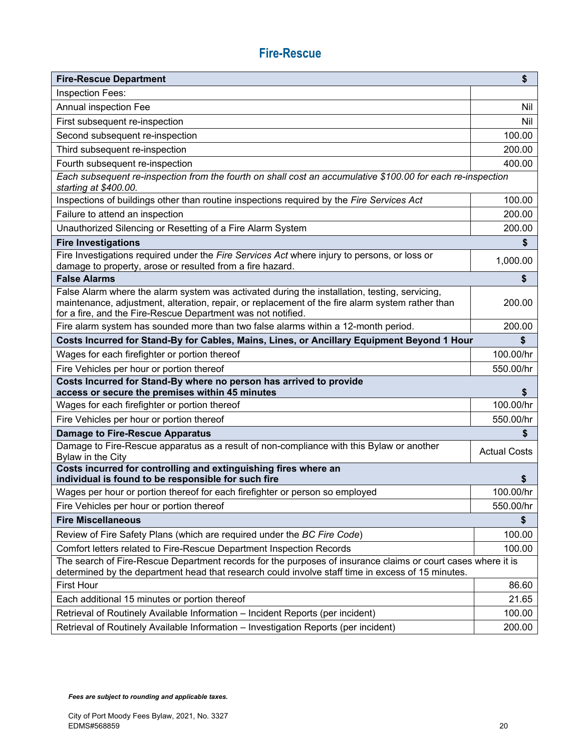### **Fire-Rescue**

| <b>Fire-Rescue Department</b>                                                                                                                                                                                                                                     | \$                  |
|-------------------------------------------------------------------------------------------------------------------------------------------------------------------------------------------------------------------------------------------------------------------|---------------------|
| Inspection Fees:                                                                                                                                                                                                                                                  |                     |
| Annual inspection Fee                                                                                                                                                                                                                                             | Nil                 |
| First subsequent re-inspection                                                                                                                                                                                                                                    | Nil                 |
| Second subsequent re-inspection                                                                                                                                                                                                                                   | 100.00              |
| Third subsequent re-inspection                                                                                                                                                                                                                                    | 200.00              |
| Fourth subsequent re-inspection                                                                                                                                                                                                                                   | 400.00              |
| Each subsequent re-inspection from the fourth on shall cost an accumulative \$100.00 for each re-inspection<br>starting at \$400.00.                                                                                                                              |                     |
| Inspections of buildings other than routine inspections required by the Fire Services Act                                                                                                                                                                         | 100.00              |
| Failure to attend an inspection                                                                                                                                                                                                                                   | 200.00              |
| Unauthorized Silencing or Resetting of a Fire Alarm System                                                                                                                                                                                                        | 200.00              |
| <b>Fire Investigations</b>                                                                                                                                                                                                                                        | \$                  |
| Fire Investigations required under the Fire Services Act where injury to persons, or loss or<br>damage to property, arose or resulted from a fire hazard.                                                                                                         | 1,000.00            |
| <b>False Alarms</b>                                                                                                                                                                                                                                               | \$                  |
| False Alarm where the alarm system was activated during the installation, testing, servicing,<br>maintenance, adjustment, alteration, repair, or replacement of the fire alarm system rather than<br>for a fire, and the Fire-Rescue Department was not notified. | 200.00              |
| Fire alarm system has sounded more than two false alarms within a 12-month period.                                                                                                                                                                                | 200.00              |
| Costs Incurred for Stand-By for Cables, Mains, Lines, or Ancillary Equipment Beyond 1 Hour                                                                                                                                                                        | \$                  |
| Wages for each firefighter or portion thereof                                                                                                                                                                                                                     | 100.00/hr           |
| Fire Vehicles per hour or portion thereof                                                                                                                                                                                                                         | 550.00/hr           |
| Costs Incurred for Stand-By where no person has arrived to provide<br>access or secure the premises within 45 minutes                                                                                                                                             | \$                  |
| Wages for each firefighter or portion thereof                                                                                                                                                                                                                     | 100.00/hr           |
| Fire Vehicles per hour or portion thereof                                                                                                                                                                                                                         | 550.00/hr           |
| <b>Damage to Fire-Rescue Apparatus</b>                                                                                                                                                                                                                            | \$                  |
| Damage to Fire-Rescue apparatus as a result of non-compliance with this Bylaw or another<br>Bylaw in the City                                                                                                                                                     | <b>Actual Costs</b> |
| Costs incurred for controlling and extinguishing fires where an<br>individual is found to be responsible for such fire                                                                                                                                            | \$                  |
| Wages per hour or portion thereof for each firefighter or person so employed                                                                                                                                                                                      | 100.00/hr           |
| Fire Vehicles per hour or portion thereof                                                                                                                                                                                                                         | 550.00/hr           |
| <b>Fire Miscellaneous</b>                                                                                                                                                                                                                                         | \$                  |
| Review of Fire Safety Plans (which are required under the BC Fire Code)                                                                                                                                                                                           | 100.00              |
| Comfort letters related to Fire-Rescue Department Inspection Records                                                                                                                                                                                              | 100.00              |
| The search of Fire-Rescue Department records for the purposes of insurance claims or court cases where it is<br>determined by the department head that research could involve staff time in excess of 15 minutes.                                                 |                     |
| <b>First Hour</b>                                                                                                                                                                                                                                                 | 86.60               |
| Each additional 15 minutes or portion thereof                                                                                                                                                                                                                     | 21.65               |
| Retrieval of Routinely Available Information - Incident Reports (per incident)                                                                                                                                                                                    | 100.00              |
| Retrieval of Routinely Available Information - Investigation Reports (per incident)                                                                                                                                                                               | 200.00              |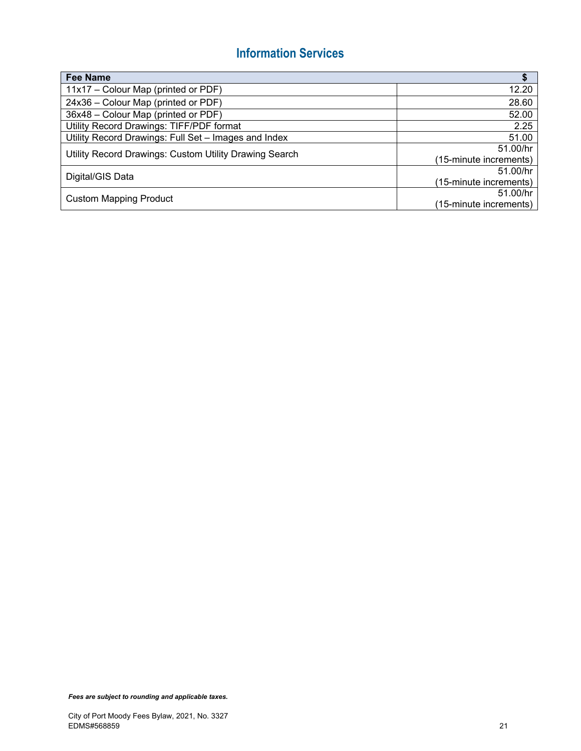### **Information Services**

| <b>Fee Name</b>                                        | \$                     |
|--------------------------------------------------------|------------------------|
| 11x17 – Colour Map (printed or PDF)                    | 12.20                  |
| 24x36 - Colour Map (printed or PDF)                    | 28.60                  |
| 36x48 - Colour Map (printed or PDF)                    | 52.00                  |
| Utility Record Drawings: TIFF/PDF format               | 2.25                   |
| Utility Record Drawings: Full Set - Images and Index   | 51.00                  |
| Utility Record Drawings: Custom Utility Drawing Search | 51.00/hr               |
|                                                        | (15-minute increments) |
| Digital/GIS Data                                       | 51.00/hr               |
|                                                        | (15-minute increments) |
| <b>Custom Mapping Product</b>                          | 51.00/hr               |
|                                                        | (15-minute increments) |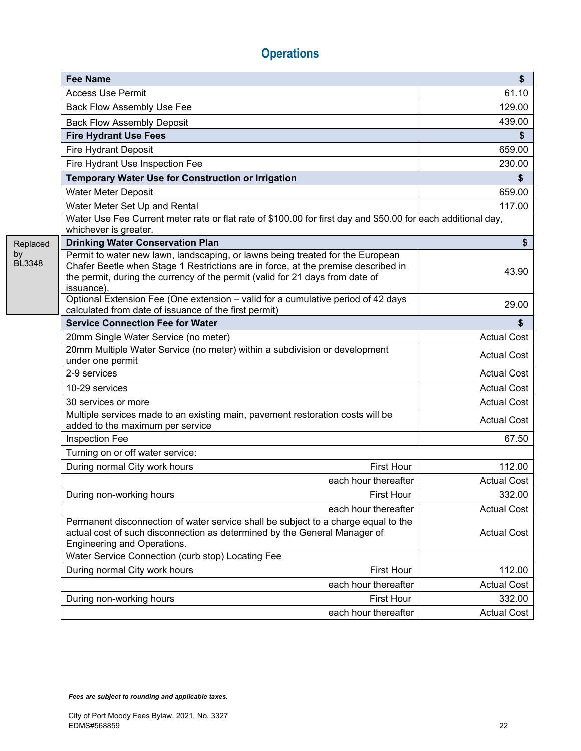|                     | <b>Fee Name</b>                                                                                                                                                                                                                                                    | \$                 |
|---------------------|--------------------------------------------------------------------------------------------------------------------------------------------------------------------------------------------------------------------------------------------------------------------|--------------------|
|                     | <b>Access Use Permit</b>                                                                                                                                                                                                                                           | 61.10              |
|                     | Back Flow Assembly Use Fee                                                                                                                                                                                                                                         | 129.00             |
|                     | <b>Back Flow Assembly Deposit</b>                                                                                                                                                                                                                                  | 439.00             |
|                     | <b>Fire Hydrant Use Fees</b>                                                                                                                                                                                                                                       |                    |
|                     | <b>Fire Hydrant Deposit</b>                                                                                                                                                                                                                                        | 659.00             |
|                     | Fire Hydrant Use Inspection Fee                                                                                                                                                                                                                                    | 230.00             |
|                     | Temporary Water Use for Construction or Irrigation                                                                                                                                                                                                                 | \$                 |
|                     | <b>Water Meter Deposit</b>                                                                                                                                                                                                                                         | 659.00             |
|                     | Water Meter Set Up and Rental                                                                                                                                                                                                                                      | 117.00             |
|                     | Water Use Fee Current meter rate or flat rate of \$100.00 for first day and \$50.00 for each additional day,<br>whichever is greater.                                                                                                                              |                    |
| Replaced            | <b>Drinking Water Conservation Plan</b>                                                                                                                                                                                                                            | \$                 |
| by<br><b>BL3348</b> | Permit to water new lawn, landscaping, or lawns being treated for the European<br>Chafer Beetle when Stage 1 Restrictions are in force, at the premise described in<br>the permit, during the currency of the permit (valid for 21 days from date of<br>issuance). | 43.90              |
|                     | Optional Extension Fee (One extension - valid for a cumulative period of 42 days<br>calculated from date of issuance of the first permit)                                                                                                                          | 29.00              |
|                     | <b>Service Connection Fee for Water</b>                                                                                                                                                                                                                            | S.                 |
|                     | 20mm Single Water Service (no meter)                                                                                                                                                                                                                               | <b>Actual Cost</b> |
|                     | 20mm Multiple Water Service (no meter) within a subdivision or development<br>under one permit                                                                                                                                                                     | <b>Actual Cost</b> |
|                     | 2-9 services                                                                                                                                                                                                                                                       | <b>Actual Cost</b> |
|                     | 10-29 services                                                                                                                                                                                                                                                     | <b>Actual Cost</b> |
|                     | 30 services or more                                                                                                                                                                                                                                                | <b>Actual Cost</b> |
|                     | Multiple services made to an existing main, pavement restoration costs will be<br>added to the maximum per service                                                                                                                                                 | <b>Actual Cost</b> |
|                     | Inspection Fee                                                                                                                                                                                                                                                     | 67.50              |
|                     | Turning on or off water service:                                                                                                                                                                                                                                   |                    |
|                     | During normal City work hours<br><b>First Hour</b>                                                                                                                                                                                                                 | 112.00             |
|                     | each hour thereafter                                                                                                                                                                                                                                               | <b>Actual Cost</b> |
|                     | During non-working hours<br><b>First Hour</b>                                                                                                                                                                                                                      | 332.00             |
|                     | each hour thereafter                                                                                                                                                                                                                                               | <b>Actual Cost</b> |
|                     | Permanent disconnection of water service shall be subject to a charge equal to the<br>actual cost of such disconnection as determined by the General Manager of<br>Engineering and Operations.                                                                     | <b>Actual Cost</b> |
|                     | Water Service Connection (curb stop) Locating Fee                                                                                                                                                                                                                  |                    |
|                     | <b>First Hour</b><br>During normal City work hours                                                                                                                                                                                                                 | 112.00             |
|                     | each hour thereafter                                                                                                                                                                                                                                               | <b>Actual Cost</b> |
|                     | <b>First Hour</b><br>During non-working hours                                                                                                                                                                                                                      | 332.00             |
|                     | each hour thereafter                                                                                                                                                                                                                                               | <b>Actual Cost</b> |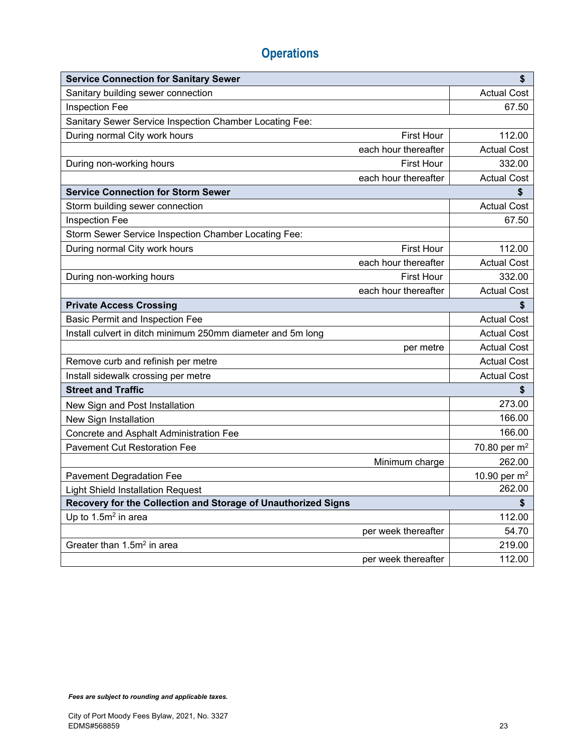| <b>Service Connection for Sanitary Sewer</b>                  |                   | \$                 |
|---------------------------------------------------------------|-------------------|--------------------|
| Sanitary building sewer connection                            |                   | <b>Actual Cost</b> |
| Inspection Fee                                                |                   | 67.50              |
| Sanitary Sewer Service Inspection Chamber Locating Fee:       |                   |                    |
| During normal City work hours                                 | <b>First Hour</b> | 112.00             |
| each hour thereafter                                          |                   | <b>Actual Cost</b> |
| During non-working hours                                      | <b>First Hour</b> | 332.00             |
| each hour thereafter                                          |                   | <b>Actual Cost</b> |
| <b>Service Connection for Storm Sewer</b>                     |                   | \$                 |
| Storm building sewer connection                               |                   | <b>Actual Cost</b> |
| <b>Inspection Fee</b>                                         |                   | 67.50              |
| Storm Sewer Service Inspection Chamber Locating Fee:          |                   |                    |
| During normal City work hours                                 | <b>First Hour</b> | 112.00             |
| each hour thereafter                                          |                   | <b>Actual Cost</b> |
| During non-working hours                                      | <b>First Hour</b> | 332.00             |
| each hour thereafter                                          |                   | <b>Actual Cost</b> |
| <b>Private Access Crossing</b>                                |                   | \$                 |
| <b>Basic Permit and Inspection Fee</b>                        |                   | <b>Actual Cost</b> |
| Install culvert in ditch minimum 250mm diameter and 5m long   |                   | <b>Actual Cost</b> |
|                                                               | per metre         | <b>Actual Cost</b> |
| Remove curb and refinish per metre                            |                   | <b>Actual Cost</b> |
| Install sidewalk crossing per metre                           |                   | <b>Actual Cost</b> |
| <b>Street and Traffic</b>                                     |                   | \$                 |
| New Sign and Post Installation                                |                   | 273.00             |
| New Sign Installation                                         |                   | 166.00             |
| Concrete and Asphalt Administration Fee                       |                   | 166.00             |
| <b>Pavement Cut Restoration Fee</b>                           |                   | 70.80 per $m^2$    |
| Minimum charge                                                |                   | 262.00             |
| <b>Pavement Degradation Fee</b>                               |                   | 10.90 per $m^2$    |
| <b>Light Shield Installation Request</b>                      |                   | 262.00             |
| Recovery for the Collection and Storage of Unauthorized Signs |                   | \$                 |
| Up to 1.5m <sup>2</sup> in area                               |                   | 112.00             |
| per week thereafter                                           |                   | 54.70              |
| Greater than 1.5m <sup>2</sup> in area                        |                   | 219.00             |
| per week thereafter                                           |                   | 112.00             |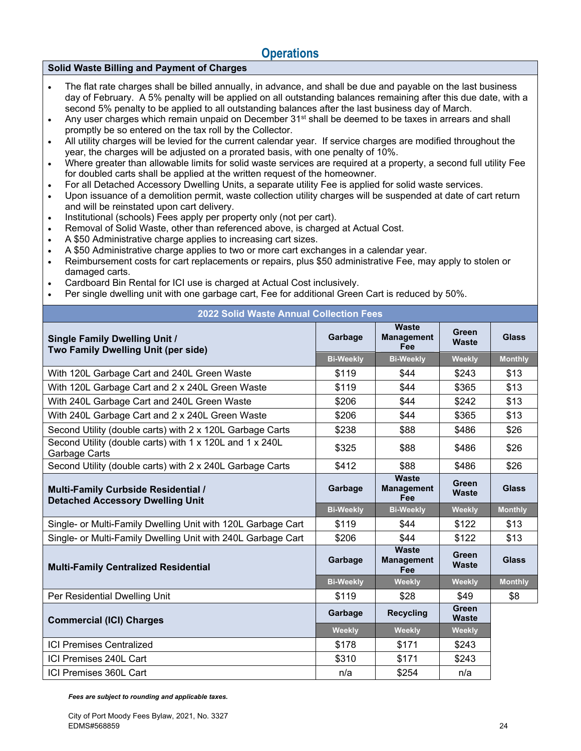#### **Solid Waste Billing and Payment of Charges**

- The flat rate charges shall be billed annually, in advance, and shall be due and payable on the last business day of February. A 5% penalty will be applied on all outstanding balances remaining after this due date, with a second 5% penalty to be applied to all outstanding balances after the last business day of March.
- Any user charges which remain unpaid on December 31<sup>st</sup> shall be deemed to be taxes in arrears and shall promptly be so entered on the tax roll by the Collector.
- All utility charges will be levied for the current calendar year. If service charges are modified throughout the year, the charges will be adjusted on a prorated basis, with one penalty of 10%.
- Where greater than allowable limits for solid waste services are required at a property, a second full utility Fee for doubled carts shall be applied at the written request of the homeowner.
- For all Detached Accessory Dwelling Units, a separate utility Fee is applied for solid waste services.
- Upon issuance of a demolition permit, waste collection utility charges will be suspended at date of cart return and will be reinstated upon cart delivery.
- Institutional (schools) Fees apply per property only (not per cart).
- Removal of Solid Waste, other than referenced above, is charged at Actual Cost.
- A \$50 Administrative charge applies to increasing cart sizes.
- A \$50 Administrative charge applies to two or more cart exchanges in a calendar year.
- Reimbursement costs for cart replacements or repairs, plus \$50 administrative Fee, may apply to stolen or damaged carts.
- Cardboard Bin Rental for ICI use is charged at Actual Cost inclusively.
- Per single dwelling unit with one garbage cart, Fee for additional Green Cart is reduced by 50%.

| <b>2022 Solid Waste Annual Collection Fees</b>                                        |                  |                                          |                              |                |
|---------------------------------------------------------------------------------------|------------------|------------------------------------------|------------------------------|----------------|
| <b>Single Family Dwelling Unit /</b><br>Two Family Dwelling Unit (per side)           | Garbage          | Waste<br><b>Management</b><br>Fee        | Green<br><b>Waste</b>        | <b>Glass</b>   |
|                                                                                       | <b>Bi-Weekly</b> | <b>Bi-Weekly</b>                         | Weekly                       | <b>Monthly</b> |
| With 120L Garbage Cart and 240L Green Waste                                           | \$119            | \$44                                     | \$243                        | \$13           |
| With 120L Garbage Cart and 2 x 240L Green Waste                                       | \$119            | \$44                                     | \$365                        | \$13           |
| With 240L Garbage Cart and 240L Green Waste                                           | \$206            | \$44                                     | \$242                        | \$13           |
| With 240L Garbage Cart and 2 x 240L Green Waste                                       | \$206            | \$44                                     | \$365                        | \$13           |
| Second Utility (double carts) with 2 x 120L Garbage Carts                             | \$238            | \$88                                     | \$486                        | \$26           |
| Second Utility (double carts) with 1 x 120L and 1 x 240L<br>Garbage Carts             | \$325            | \$88                                     | \$486                        | \$26           |
| Second Utility (double carts) with 2 x 240L Garbage Carts                             | \$412            | \$88                                     | \$486                        | \$26           |
| <b>Multi-Family Curbside Residential /</b><br><b>Detached Accessory Dwelling Unit</b> | Garbage          | Waste<br><b>Management</b><br>Fee        | Green<br><b>Waste</b>        | <b>Glass</b>   |
|                                                                                       | <b>Bi-Weekly</b> | <b>Bi-Weekly</b>                         | Weekly                       | <b>Monthly</b> |
| Single- or Multi-Family Dwelling Unit with 120L Garbage Cart                          | \$119            | \$44                                     | \$122                        | \$13           |
| Single- or Multi-Family Dwelling Unit with 240L Garbage Cart                          | \$206            | \$44                                     | \$122                        | \$13           |
| <b>Multi-Family Centralized Residential</b>                                           | Garbage          | <b>Waste</b><br><b>Management</b><br>Fee | Green<br><b>Waste</b>        | <b>Glass</b>   |
|                                                                                       | <b>Bi-Weekly</b> | Weekly                                   | Weekly                       | <b>Monthly</b> |
| Per Residential Dwelling Unit                                                         | \$119            | \$28                                     | \$49                         | \$8            |
| <b>Commercial (ICI) Charges</b>                                                       | Garbage          | <b>Recycling</b>                         | <b>Green</b><br><b>Waste</b> |                |
|                                                                                       | <b>Weekly</b>    | <b>Weekly</b>                            | Weekly                       |                |
| <b>ICI Premises Centralized</b>                                                       | \$178            | \$171                                    | \$243                        |                |
| ICI Premises 240L Cart                                                                | \$310            | \$171                                    | \$243                        |                |
|                                                                                       |                  |                                          |                              |                |

ICI Premises 360L Cart n/a \$254 n/a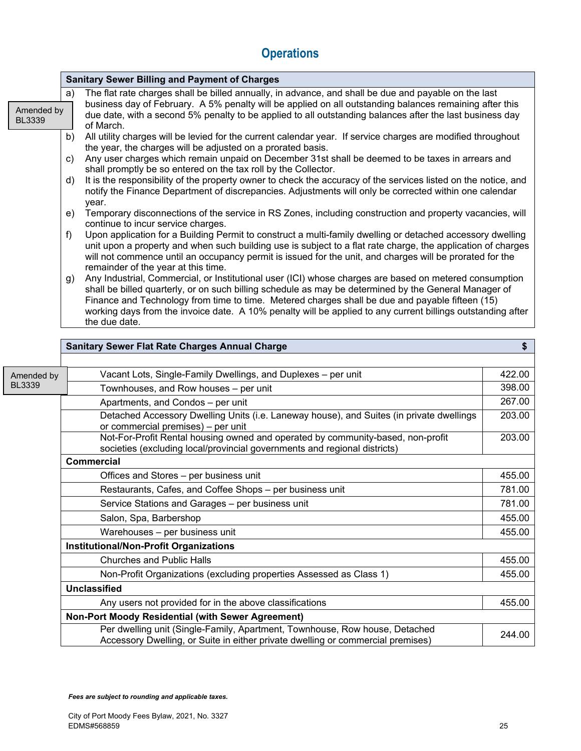**Sanitary Sewer Billing and Payment of Charges** 

| Amended by<br><b>BL3339</b> | The flat rate charges shall be billed annually, in advance, and shall be due and payable on the last<br>a)<br>business day of February. A 5% penalty will be applied on all outstanding balances remaining after this<br>due date, with a second 5% penalty to be applied to all outstanding balances after the last business day<br>of March.<br>All utility charges will be levied for the current calendar year. If service charges are modified throughout<br>b)<br>the year, the charges will be adjusted on a prorated basis.<br>Any user charges which remain unpaid on December 31st shall be deemed to be taxes in arrears and<br>c)<br>shall promptly be so entered on the tax roll by the Collector.<br>It is the responsibility of the property owner to check the accuracy of the services listed on the notice, and<br>d)<br>notify the Finance Department of discrepancies. Adjustments will only be corrected within one calendar<br>year.<br>Temporary disconnections of the service in RS Zones, including construction and property vacancies, will<br>e)<br>continue to incur service charges.<br>Upon application for a Building Permit to construct a multi-family dwelling or detached accessory dwelling<br>f)<br>unit upon a property and when such building use is subject to a flat rate charge, the application of charges |        |  |  |  |
|-----------------------------|--------------------------------------------------------------------------------------------------------------------------------------------------------------------------------------------------------------------------------------------------------------------------------------------------------------------------------------------------------------------------------------------------------------------------------------------------------------------------------------------------------------------------------------------------------------------------------------------------------------------------------------------------------------------------------------------------------------------------------------------------------------------------------------------------------------------------------------------------------------------------------------------------------------------------------------------------------------------------------------------------------------------------------------------------------------------------------------------------------------------------------------------------------------------------------------------------------------------------------------------------------------------------------------------------------------------------------------------------------|--------|--|--|--|
|                             | will not commence until an occupancy permit is issued for the unit, and charges will be prorated for the<br>remainder of the year at this time.<br>Any Industrial, Commercial, or Institutional user (ICI) whose charges are based on metered consumption<br>g)<br>shall be billed quarterly, or on such billing schedule as may be determined by the General Manager of<br>Finance and Technology from time to time. Metered charges shall be due and payable fifteen (15)<br>working days from the invoice date. A 10% penalty will be applied to any current billings outstanding after<br>the due date.<br><b>Sanitary Sewer Flat Rate Charges Annual Charge</b>                                                                                                                                                                                                                                                                                                                                                                                                                                                                                                                                                                                                                                                                                   | \$     |  |  |  |
|                             |                                                                                                                                                                                                                                                                                                                                                                                                                                                                                                                                                                                                                                                                                                                                                                                                                                                                                                                                                                                                                                                                                                                                                                                                                                                                                                                                                        |        |  |  |  |
| Amended by                  | Vacant Lots, Single-Family Dwellings, and Duplexes - per unit                                                                                                                                                                                                                                                                                                                                                                                                                                                                                                                                                                                                                                                                                                                                                                                                                                                                                                                                                                                                                                                                                                                                                                                                                                                                                          | 422.00 |  |  |  |
| <b>BL3339</b>               | Townhouses, and Row houses - per unit                                                                                                                                                                                                                                                                                                                                                                                                                                                                                                                                                                                                                                                                                                                                                                                                                                                                                                                                                                                                                                                                                                                                                                                                                                                                                                                  | 398.00 |  |  |  |
|                             | Apartments, and Condos - per unit                                                                                                                                                                                                                                                                                                                                                                                                                                                                                                                                                                                                                                                                                                                                                                                                                                                                                                                                                                                                                                                                                                                                                                                                                                                                                                                      | 267.00 |  |  |  |
|                             | Detached Accessory Dwelling Units (i.e. Laneway house), and Suites (in private dwellings<br>or commercial premises) - per unit                                                                                                                                                                                                                                                                                                                                                                                                                                                                                                                                                                                                                                                                                                                                                                                                                                                                                                                                                                                                                                                                                                                                                                                                                         | 203.00 |  |  |  |
|                             | Not-For-Profit Rental housing owned and operated by community-based, non-profit<br>societies (excluding local/provincial governments and regional districts)                                                                                                                                                                                                                                                                                                                                                                                                                                                                                                                                                                                                                                                                                                                                                                                                                                                                                                                                                                                                                                                                                                                                                                                           | 203.00 |  |  |  |
|                             | <b>Commercial</b>                                                                                                                                                                                                                                                                                                                                                                                                                                                                                                                                                                                                                                                                                                                                                                                                                                                                                                                                                                                                                                                                                                                                                                                                                                                                                                                                      |        |  |  |  |
|                             | Offices and Stores - per business unit                                                                                                                                                                                                                                                                                                                                                                                                                                                                                                                                                                                                                                                                                                                                                                                                                                                                                                                                                                                                                                                                                                                                                                                                                                                                                                                 | 455.00 |  |  |  |
|                             | Restaurants, Cafes, and Coffee Shops - per business unit                                                                                                                                                                                                                                                                                                                                                                                                                                                                                                                                                                                                                                                                                                                                                                                                                                                                                                                                                                                                                                                                                                                                                                                                                                                                                               | 781.00 |  |  |  |
|                             | Service Stations and Garages - per business unit                                                                                                                                                                                                                                                                                                                                                                                                                                                                                                                                                                                                                                                                                                                                                                                                                                                                                                                                                                                                                                                                                                                                                                                                                                                                                                       | 781.00 |  |  |  |
|                             | Salon, Spa, Barbershop                                                                                                                                                                                                                                                                                                                                                                                                                                                                                                                                                                                                                                                                                                                                                                                                                                                                                                                                                                                                                                                                                                                                                                                                                                                                                                                                 | 455.00 |  |  |  |
|                             | Warehouses - per business unit                                                                                                                                                                                                                                                                                                                                                                                                                                                                                                                                                                                                                                                                                                                                                                                                                                                                                                                                                                                                                                                                                                                                                                                                                                                                                                                         | 455.00 |  |  |  |
|                             | <b>Institutional/Non-Profit Organizations</b>                                                                                                                                                                                                                                                                                                                                                                                                                                                                                                                                                                                                                                                                                                                                                                                                                                                                                                                                                                                                                                                                                                                                                                                                                                                                                                          |        |  |  |  |
|                             | <b>Churches and Public Halls</b>                                                                                                                                                                                                                                                                                                                                                                                                                                                                                                                                                                                                                                                                                                                                                                                                                                                                                                                                                                                                                                                                                                                                                                                                                                                                                                                       | 455.00 |  |  |  |
|                             | Non-Profit Organizations (excluding properties Assessed as Class 1)                                                                                                                                                                                                                                                                                                                                                                                                                                                                                                                                                                                                                                                                                                                                                                                                                                                                                                                                                                                                                                                                                                                                                                                                                                                                                    | 455.00 |  |  |  |
|                             | <b>Unclassified</b>                                                                                                                                                                                                                                                                                                                                                                                                                                                                                                                                                                                                                                                                                                                                                                                                                                                                                                                                                                                                                                                                                                                                                                                                                                                                                                                                    |        |  |  |  |
|                             | Any users not provided for in the above classifications                                                                                                                                                                                                                                                                                                                                                                                                                                                                                                                                                                                                                                                                                                                                                                                                                                                                                                                                                                                                                                                                                                                                                                                                                                                                                                | 455.00 |  |  |  |
|                             | <b>Non-Port Moody Residential (with Sewer Agreement)</b>                                                                                                                                                                                                                                                                                                                                                                                                                                                                                                                                                                                                                                                                                                                                                                                                                                                                                                                                                                                                                                                                                                                                                                                                                                                                                               |        |  |  |  |
|                             | Per dwelling unit (Single-Family, Apartment, Townhouse, Row house, Detached<br>Accessory Dwelling, or Suite in either private dwelling or commercial premises)                                                                                                                                                                                                                                                                                                                                                                                                                                                                                                                                                                                                                                                                                                                                                                                                                                                                                                                                                                                                                                                                                                                                                                                         | 244.00 |  |  |  |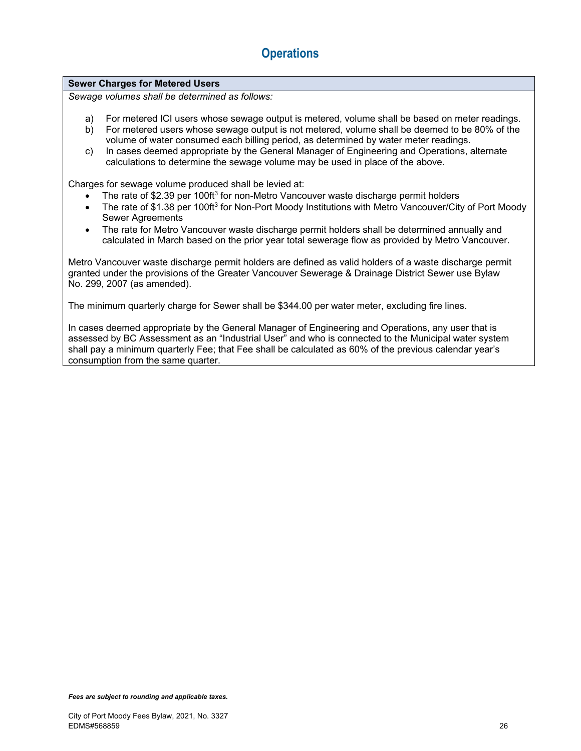#### **Sewer Charges for Metered Users**

*Sewage volumes shall be determined as follows:* 

- a) For metered ICI users whose sewage output is metered, volume shall be based on meter readings.
- b) For metered users whose sewage output is not metered, volume shall be deemed to be 80% of the volume of water consumed each billing period, as determined by water meter readings.
- c) In cases deemed appropriate by the General Manager of Engineering and Operations, alternate calculations to determine the sewage volume may be used in place of the above.

Charges for sewage volume produced shall be levied at:

- The rate of \$2.39 per 100ft<sup>3</sup> for non-Metro Vancouver waste discharge permit holders
- The rate of \$1.38 per 100ft<sup>3</sup> for Non-Port Moody Institutions with Metro Vancouver/City of Port Moody Sewer Agreements
- The rate for Metro Vancouver waste discharge permit holders shall be determined annually and calculated in March based on the prior year total sewerage flow as provided by Metro Vancouver.

Metro Vancouver waste discharge permit holders are defined as valid holders of a waste discharge permit granted under the provisions of the Greater Vancouver Sewerage & Drainage District Sewer use Bylaw No. 299, 2007 (as amended).

The minimum quarterly charge for Sewer shall be \$344.00 per water meter, excluding fire lines.

In cases deemed appropriate by the General Manager of Engineering and Operations, any user that is assessed by BC Assessment as an "Industrial User" and who is connected to the Municipal water system shall pay a minimum quarterly Fee; that Fee shall be calculated as 60% of the previous calendar year's consumption from the same quarter.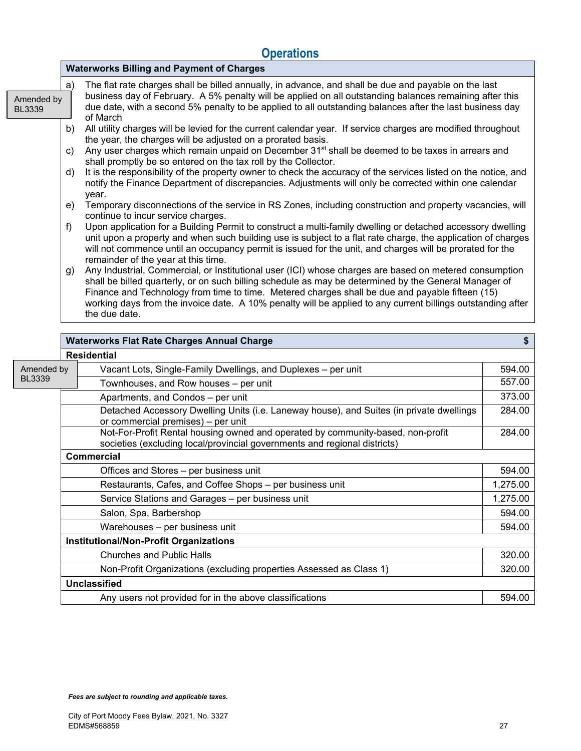|                             | <b>Waterworks Billing and Payment of Charges</b>                                                                                                                                                                                                                                                                                                                                                                                                         |  |  |  |  |
|-----------------------------|----------------------------------------------------------------------------------------------------------------------------------------------------------------------------------------------------------------------------------------------------------------------------------------------------------------------------------------------------------------------------------------------------------------------------------------------------------|--|--|--|--|
| Amended by<br><b>BL3339</b> | The flat rate charges shall be billed annually, in advance, and shall be due and payable on the last<br>a)<br>business day of February. A 5% penalty will be applied on all outstanding balances remaining after this<br>due date, with a second 5% penalty to be applied to all outstanding balances after the last business day<br>of March                                                                                                            |  |  |  |  |
|                             | All utility charges will be levied for the current calendar year. If service charges are modified throughout<br>b)<br>the year, the charges will be adjusted on a prorated basis.<br>Any user charges which remain unpaid on December 31 <sup>st</sup> shall be deemed to be taxes in arrears and<br>C)                                                                                                                                                  |  |  |  |  |
|                             | shall promptly be so entered on the tax roll by the Collector.                                                                                                                                                                                                                                                                                                                                                                                           |  |  |  |  |
|                             | It is the responsibility of the property owner to check the accuracy of the services listed on the notice, and<br>d)<br>notify the Finance Department of discrepancies. Adjustments will only be corrected within one calendar<br>year.                                                                                                                                                                                                                  |  |  |  |  |
|                             | Temporary disconnections of the service in RS Zones, including construction and property vacancies, will<br>e)<br>continue to incur service charges.                                                                                                                                                                                                                                                                                                     |  |  |  |  |
|                             | Upon application for a Building Permit to construct a multi-family dwelling or detached accessory dwelling<br>f)<br>unit upon a property and when such building use is subject to a flat rate charge, the application of charges<br>will not commence until an occupancy permit is issued for the unit, and charges will be prorated for the<br>remainder of the year at this time.                                                                      |  |  |  |  |
|                             | Any Industrial, Commercial, or Institutional user (ICI) whose charges are based on metered consumption<br>g)<br>shall be billed quarterly, or on such billing schedule as may be determined by the General Manager of<br>Finance and Technology from time to time. Metered charges shall be due and payable fifteen (15)<br>working days from the invoice date. A 10% penalty will be applied to any current billings outstanding after<br>the due date. |  |  |  |  |
|                             | <b>Waterworks Flat Rate Charges Annual Charge</b>                                                                                                                                                                                                                                                                                                                                                                                                        |  |  |  |  |
|                             | <b>Residential</b>                                                                                                                                                                                                                                                                                                                                                                                                                                       |  |  |  |  |

|               | Residential                                                                                                                                                  |          |  |  |  |
|---------------|--------------------------------------------------------------------------------------------------------------------------------------------------------------|----------|--|--|--|
| Amended by    | Vacant Lots, Single-Family Dwellings, and Duplexes - per unit                                                                                                |          |  |  |  |
| <b>BL3339</b> | Townhouses, and Row houses - per unit                                                                                                                        | 557.00   |  |  |  |
|               | Apartments, and Condos - per unit                                                                                                                            |          |  |  |  |
|               | Detached Accessory Dwelling Units (i.e. Laneway house), and Suites (in private dwellings<br>or commercial premises) - per unit                               |          |  |  |  |
|               | Not-For-Profit Rental housing owned and operated by community-based, non-profit<br>societies (excluding local/provincial governments and regional districts) | 284.00   |  |  |  |
|               | <b>Commercial</b>                                                                                                                                            |          |  |  |  |
|               | Offices and Stores – per business unit                                                                                                                       |          |  |  |  |
|               | Restaurants, Cafes, and Coffee Shops - per business unit                                                                                                     |          |  |  |  |
|               | Service Stations and Garages - per business unit                                                                                                             | 1,275.00 |  |  |  |
|               | Salon, Spa, Barbershop                                                                                                                                       | 594.00   |  |  |  |
|               | Warehouses - per business unit                                                                                                                               | 594.00   |  |  |  |
|               | <b>Institutional/Non-Profit Organizations</b>                                                                                                                |          |  |  |  |
|               | <b>Churches and Public Halls</b>                                                                                                                             |          |  |  |  |
|               | Non-Profit Organizations (excluding properties Assessed as Class 1)                                                                                          |          |  |  |  |
|               | <b>Unclassified</b>                                                                                                                                          |          |  |  |  |
|               | 594.00<br>Any users not provided for in the above classifications                                                                                            |          |  |  |  |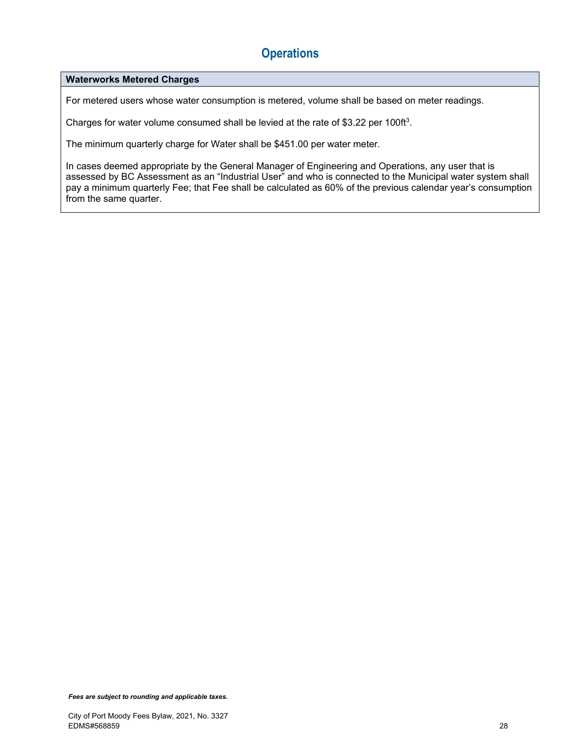#### **Waterworks Metered Charges**

For metered users whose water consumption is metered, volume shall be based on meter readings.

Charges for water volume consumed shall be levied at the rate of \$3.22 per 100ft<sup>3</sup>.

The minimum quarterly charge for Water shall be \$451.00 per water meter.

In cases deemed appropriate by the General Manager of Engineering and Operations, any user that is assessed by BC Assessment as an "Industrial User" and who is connected to the Municipal water system shall pay a minimum quarterly Fee; that Fee shall be calculated as 60% of the previous calendar year's consumption from the same quarter.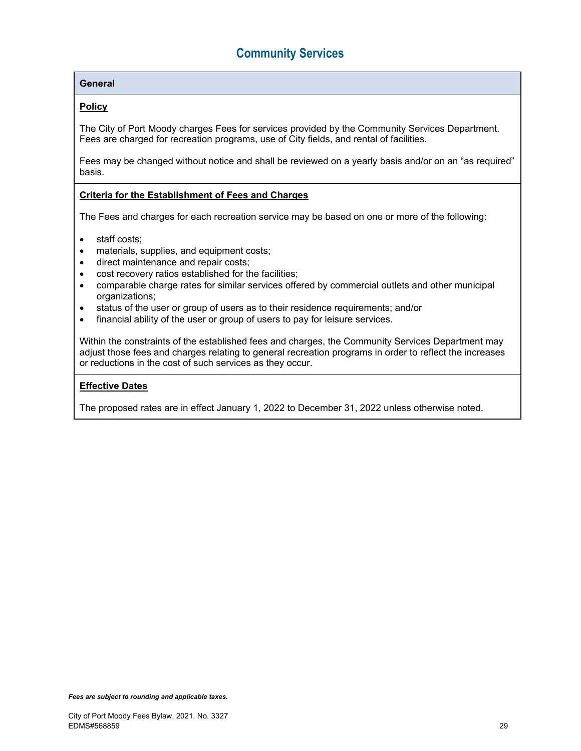#### **General**

#### **Policy**

The City of Port Moody charges Fees for services provided by the Community Services Department. Fees are charged for recreation programs, use of City fields, and rental of facilities.

Fees may be changed without notice and shall be reviewed on a yearly basis and/or on an "as required" basis.

#### **Criteria for the Establishment of Fees and Charges**

The Fees and charges for each recreation service may be based on one or more of the following:

- staff costs;
- materials, supplies, and equipment costs;
- direct maintenance and repair costs;
- cost recovery ratios established for the facilities;
- comparable charge rates for similar services offered by commercial outlets and other municipal organizations;
- status of the user or group of users as to their residence requirements; and/or
- financial ability of the user or group of users to pay for leisure services.

Within the constraints of the established fees and charges, the Community Services Department may adjust those fees and charges relating to general recreation programs in order to reflect the increases or reductions in the cost of such services as they occur.

#### **Effective Dates**

The proposed rates are in effect January 1, 2022 to December 31, 2022 unless otherwise noted.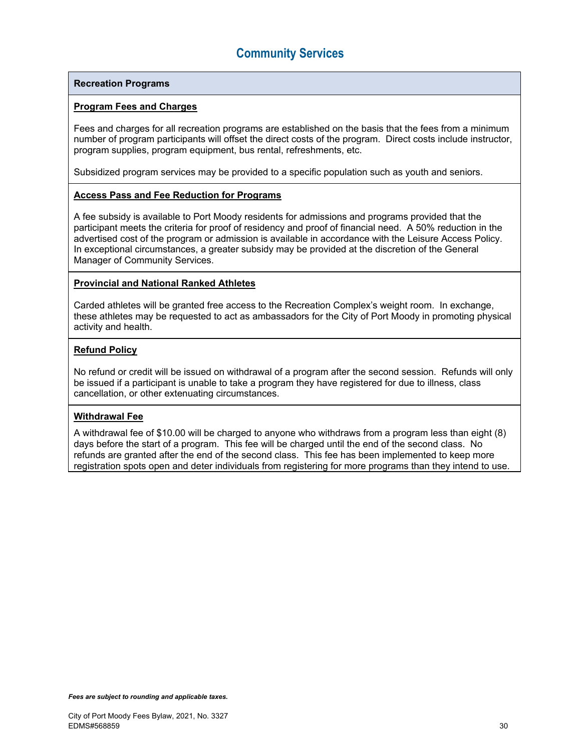#### **Recreation Programs**

#### **Program Fees and Charges**

Fees and charges for all recreation programs are established on the basis that the fees from a minimum number of program participants will offset the direct costs of the program. Direct costs include instructor, program supplies, program equipment, bus rental, refreshments, etc.

Subsidized program services may be provided to a specific population such as youth and seniors.

#### **Access Pass and Fee Reduction for Programs**

A fee subsidy is available to Port Moody residents for admissions and programs provided that the participant meets the criteria for proof of residency and proof of financial need. A 50% reduction in the advertised cost of the program or admission is available in accordance with the Leisure Access Policy. In exceptional circumstances, a greater subsidy may be provided at the discretion of the General Manager of Community Services.

#### **Provincial and National Ranked Athletes**

Carded athletes will be granted free access to the Recreation Complex's weight room. In exchange, these athletes may be requested to act as ambassadors for the City of Port Moody in promoting physical activity and health.

#### **Refund Policy**

No refund or credit will be issued on withdrawal of a program after the second session. Refunds will only be issued if a participant is unable to take a program they have registered for due to illness, class cancellation, or other extenuating circumstances.

#### **Withdrawal Fee**

A withdrawal fee of \$10.00 will be charged to anyone who withdraws from a program less than eight (8) days before the start of a program. This fee will be charged until the end of the second class. No refunds are granted after the end of the second class. This fee has been implemented to keep more registration spots open and deter individuals from registering for more programs than they intend to use.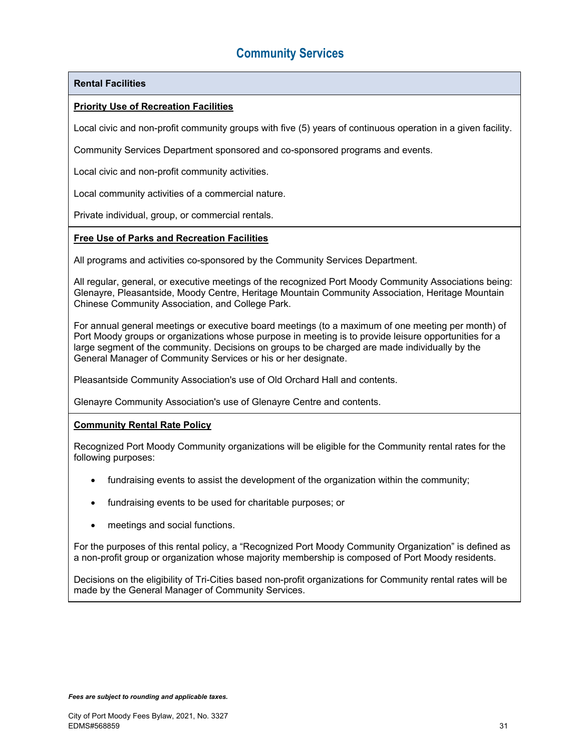#### **Rental Facilities**

#### **Priority Use of Recreation Facilities**

Local civic and non-profit community groups with five (5) years of continuous operation in a given facility.

Community Services Department sponsored and co-sponsored programs and events.

Local civic and non-profit community activities.

Local community activities of a commercial nature.

Private individual, group, or commercial rentals.

#### **Free Use of Parks and Recreation Facilities**

All programs and activities co-sponsored by the Community Services Department.

All regular, general, or executive meetings of the recognized Port Moody Community Associations being: Glenayre, Pleasantside, Moody Centre, Heritage Mountain Community Association, Heritage Mountain Chinese Community Association, and College Park.

For annual general meetings or executive board meetings (to a maximum of one meeting per month) of Port Moody groups or organizations whose purpose in meeting is to provide leisure opportunities for a large segment of the community. Decisions on groups to be charged are made individually by the General Manager of Community Services or his or her designate.

Pleasantside Community Association's use of Old Orchard Hall and contents.

Glenayre Community Association's use of Glenayre Centre and contents.

#### **Community Rental Rate Policy**

Recognized Port Moody Community organizations will be eligible for the Community rental rates for the following purposes:

- fundraising events to assist the development of the organization within the community;
- fundraising events to be used for charitable purposes; or
- meetings and social functions.

For the purposes of this rental policy, a "Recognized Port Moody Community Organization" is defined as a non-profit group or organization whose majority membership is composed of Port Moody residents.

Decisions on the eligibility of Tri-Cities based non-profit organizations for Community rental rates will be made by the General Manager of Community Services.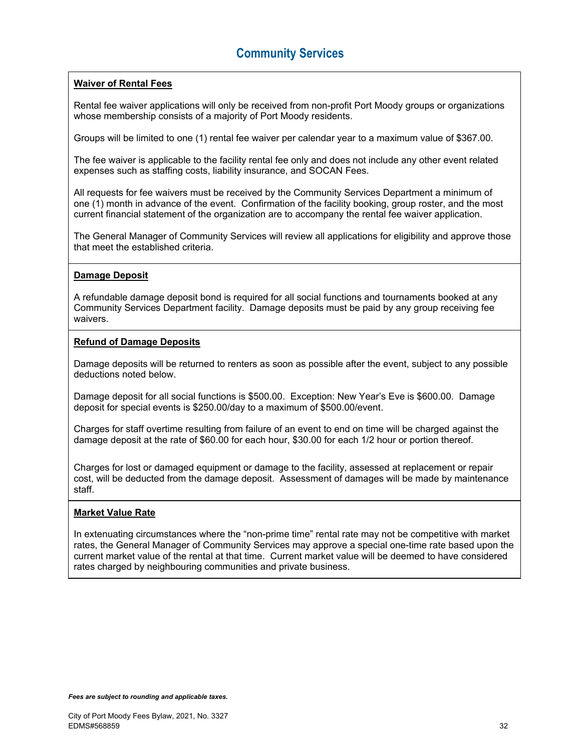#### **Waiver of Rental Fees**

Rental fee waiver applications will only be received from non-profit Port Moody groups or organizations whose membership consists of a majority of Port Moody residents.

Groups will be limited to one (1) rental fee waiver per calendar year to a maximum value of \$367.00.

The fee waiver is applicable to the facility rental fee only and does not include any other event related expenses such as staffing costs, liability insurance, and SOCAN Fees.

All requests for fee waivers must be received by the Community Services Department a minimum of one (1) month in advance of the event. Confirmation of the facility booking, group roster, and the most current financial statement of the organization are to accompany the rental fee waiver application.

The General Manager of Community Services will review all applications for eligibility and approve those that meet the established criteria.

#### **Damage Deposit**

A refundable damage deposit bond is required for all social functions and tournaments booked at any Community Services Department facility. Damage deposits must be paid by any group receiving fee waivers.

#### **Refund of Damage Deposits**

Damage deposits will be returned to renters as soon as possible after the event, subject to any possible deductions noted below.

Damage deposit for all social functions is \$500.00. Exception: New Year's Eve is \$600.00. Damage deposit for special events is \$250.00/day to a maximum of \$500.00/event.

Charges for staff overtime resulting from failure of an event to end on time will be charged against the damage deposit at the rate of \$60.00 for each hour, \$30.00 for each 1/2 hour or portion thereof.

Charges for lost or damaged equipment or damage to the facility, assessed at replacement or repair cost, will be deducted from the damage deposit. Assessment of damages will be made by maintenance staff.

#### **Market Value Rate**

In extenuating circumstances where the "non-prime time" rental rate may not be competitive with market rates, the General Manager of Community Services may approve a special one-time rate based upon the current market value of the rental at that time. Current market value will be deemed to have considered rates charged by neighbouring communities and private business.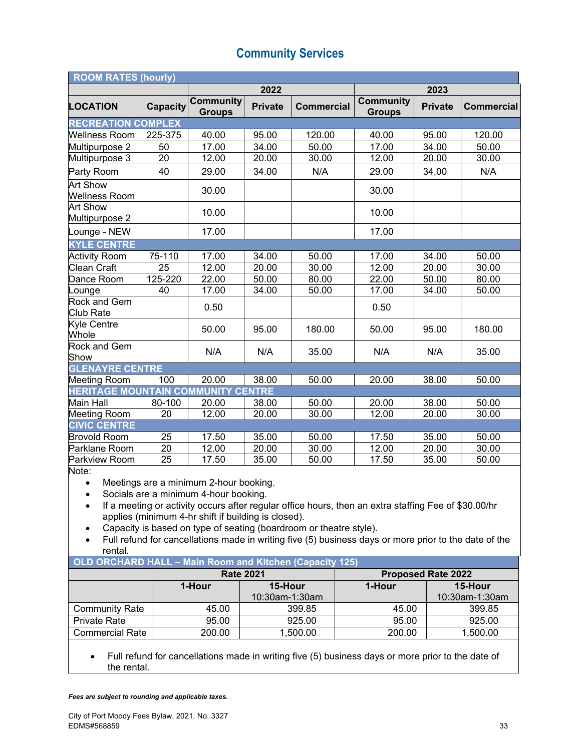| <b>ROOM RATES (hourly)</b>                |             |                                   |                |                   |                                   |                |                   |
|-------------------------------------------|-------------|-----------------------------------|----------------|-------------------|-----------------------------------|----------------|-------------------|
|                                           |             |                                   | 2022           |                   |                                   | 2023           |                   |
| <b>LOCATION</b>                           | Capacity    | <b>Community</b><br><b>Groups</b> | <b>Private</b> | <b>Commercial</b> | <b>Community</b><br><b>Groups</b> | <b>Private</b> | <b>Commercial</b> |
| <b>RECREATION COMPLEX</b>                 |             |                                   |                |                   |                                   |                |                   |
| <b>Wellness Room</b>                      | 225-375     | 40.00                             | 95.00          | 120.00            | 40.00                             | 95.00          | 120.00            |
| Multipurpose 2                            | 50          | 17.00                             | 34.00          | 50.00             | 17.00                             | 34.00          | 50.00             |
| Multipurpose 3                            | 20          | 12.00                             | 20.00          | 30.00             | 12.00                             | 20.00          | 30.00             |
| Party Room                                | 40          | 29.00                             | 34.00          | N/A               | 29.00                             | 34.00          | N/A               |
| <b>Art Show</b><br><b>Wellness Room</b>   |             | 30.00                             |                |                   | 30.00                             |                |                   |
| <b>Art Show</b><br>Multipurpose 2         |             | 10.00                             |                |                   | 10.00                             |                |                   |
| Lounge - NEW                              |             | 17.00                             |                |                   | 17.00                             |                |                   |
| <b>KYLE CENTRE</b>                        |             |                                   |                |                   |                                   |                |                   |
| <b>Activity Room</b>                      | 75-110      | 17.00                             | 34.00          | 50.00             | 17.00                             | 34.00          | 50.00             |
| <b>Clean Craft</b>                        | 25          | 12.00                             | 20.00          | 30.00             | 12.00                             | 20.00          | 30.00             |
| Dance Room                                | $125 - 220$ | 22.00                             | 50.00          | 80.00             | 22.00                             | 50.00          | 80.00             |
| Lounge                                    | 40          | 17.00                             | 34.00          | 50.00             | 17.00                             | 34.00          | 50.00             |
| Rock and Gem<br><b>Club Rate</b>          |             | 0.50                              |                |                   | 0.50                              |                |                   |
| Kyle Centre<br>Whole                      |             | 50.00                             | 95.00          | 180.00            | 50.00                             | 95.00          | 180.00            |
| Rock and Gem<br>Show                      |             | N/A                               | N/A            | 35.00             | N/A                               | N/A            | 35.00             |
| <b>GLENAYRE CENTRE</b>                    |             |                                   |                |                   |                                   |                |                   |
| <b>Meeting Room</b>                       | 100         | 20.00                             | 38.00          | 50.00             | 20.00                             | 38.00          | 50.00             |
| <b>HERITAGE MOUNTAIN COMMUNITY CENTRE</b> |             |                                   |                |                   |                                   |                |                   |
| <b>Main Hall</b>                          | 80-100      | 20.00                             | 38.00          | 50.00             | 20.00                             | 38.00          | 50.00             |
| <b>Meeting Room</b>                       | 20          | 12.00                             | 20.00          | 30.00             | 12.00                             | 20.00          | 30.00             |
| <b>CIVIC CENTRE</b>                       |             |                                   |                |                   |                                   |                |                   |
| <b>Brovold Room</b>                       | 25          | 17.50                             | 35.00          | 50.00             | 17.50                             | 35.00          | 50.00             |
| Parklane Room                             | 20          | 12.00                             | 20.00          | 30.00             | 12.00                             | 20.00          | 30.00             |
| Parkview Room<br>Note:                    | 25          | 17.50                             | 35.00          | 50.00             | 17.50                             | 35.00          | 50.00             |

Note:

- Meetings are a minimum 2-hour booking.
- Socials are a minimum 4-hour booking.
- If a meeting or activity occurs after regular office hours, then an extra staffing Fee of \$30.00/hr applies (minimum 4-hr shift if building is closed).
- Capacity is based on type of seating (boardroom or theatre style).
- Full refund for cancellations made in writing five (5) business days or more prior to the date of the rental.

| OLD ORCHARD HALL - Main Room and Kitchen (Capacity 125) |        |                  |                           |                |  |  |
|---------------------------------------------------------|--------|------------------|---------------------------|----------------|--|--|
|                                                         |        | <b>Rate 2021</b> | <b>Proposed Rate 2022</b> |                |  |  |
|                                                         | 1-Hour | 15-Hour          | 1-Hour                    | 15-Hour        |  |  |
|                                                         |        | 10:30am-1:30am   |                           | 10:30am-1:30am |  |  |
| <b>Community Rate</b>                                   | 45.00  | 399.85           | 45.00                     | 399.85         |  |  |
| <b>Private Rate</b>                                     | 95.00  | 925.00           | 95.00                     | 925.00         |  |  |
| <b>Commercial Rate</b>                                  | 200.00 | 1,500.00         | 200.00                    | 1,500.00       |  |  |
|                                                         |        |                  |                           |                |  |  |

 Full refund for cancellations made in writing five (5) business days or more prior to the date of the rental.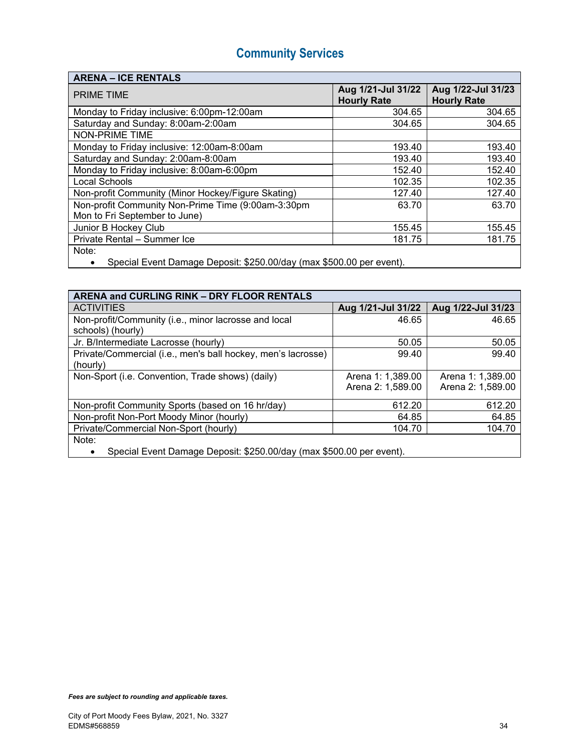### **ARENA – ICE RENTALS**

| <b>PRIME TIME</b>                                    | Aug 1/21-Jul 31/22<br><b>Hourly Rate</b> | Aug 1/22-Jul 31/23<br><b>Hourly Rate</b> |
|------------------------------------------------------|------------------------------------------|------------------------------------------|
| Monday to Friday inclusive: 6:00pm-12:00am           | 304.65                                   | 304.65                                   |
| Saturday and Sunday: 8:00am-2:00am                   | 304.65                                   | 304.65                                   |
| <b>NON-PRIME TIME</b>                                |                                          |                                          |
| Monday to Friday inclusive: 12:00am-8:00am           | 193.40                                   | 193.40                                   |
| Saturday and Sunday: 2:00am-8:00am                   | 193.40                                   | 193.40                                   |
| Monday to Friday inclusive: 8:00am-6:00pm            | 152.40                                   | 152.40                                   |
| <b>Local Schools</b>                                 | 102.35                                   | 102.35                                   |
| Non-profit Community (Minor Hockey/Figure Skating)   | 127.40                                   | 127.40                                   |
| Non-profit Community Non-Prime Time (9:00am-3:30pm   | 63.70                                    | 63.70                                    |
| Mon to Fri September to June)                        |                                          |                                          |
| Junior B Hockey Club                                 | 155.45                                   | 155.45                                   |
| Private Rental - Summer Ice                          | 181.75                                   | 181.75                                   |
| Note:                                                |                                          |                                          |
| $\Omega$ if its $\Omega$ is the contract of $\Omega$ |                                          |                                          |

**Special Event Damage Deposit: \$250.00/day (max \$500.00 per event).** 

### **ARENA and CURLING RINK – DRY FLOOR RENTALS**

| <b>ACTIVITIES</b>                                                    | Aug 1/21-Jul 31/22 | Aug 1/22-Jul 31/23 |  |  |
|----------------------------------------------------------------------|--------------------|--------------------|--|--|
| Non-profit/Community (i.e., minor lacrosse and local                 | 46.65              | 46.65              |  |  |
| schools) (hourly)                                                    |                    |                    |  |  |
| Jr. B/Intermediate Lacrosse (hourly)                                 | 50.05              | 50.05              |  |  |
| Private/Commercial (i.e., men's ball hockey, men's lacrosse)         | 99.40              | 99.40              |  |  |
| (hourly)                                                             |                    |                    |  |  |
| Non-Sport (i.e. Convention, Trade shows) (daily)                     | Arena 1: 1,389.00  | Arena 1: 1,389.00  |  |  |
|                                                                      | Arena 2: 1,589.00  | Arena 2: 1,589.00  |  |  |
| Non-profit Community Sports (based on 16 hr/day)                     | 612.20             | 612.20             |  |  |
| Non-profit Non-Port Moody Minor (hourly)                             | 64.85              | 64.85              |  |  |
| Private/Commercial Non-Sport (hourly)                                | 104.70             | 104.70             |  |  |
| Note:                                                                |                    |                    |  |  |
| Special Event Damage Deposit: \$250.00/day (max \$500.00 per event). |                    |                    |  |  |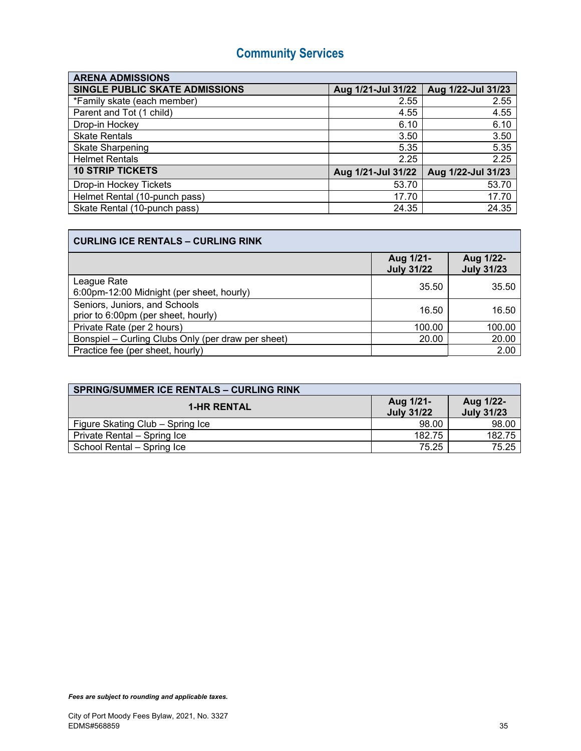| <b>ARENA ADMISSIONS</b>               |                    |                    |  |  |
|---------------------------------------|--------------------|--------------------|--|--|
| <b>SINGLE PUBLIC SKATE ADMISSIONS</b> | Aug 1/21-Jul 31/22 | Aug 1/22-Jul 31/23 |  |  |
| *Family skate (each member)           | 2.55               | 2.55               |  |  |
| Parent and Tot (1 child)              | 4.55               | 4.55               |  |  |
| Drop-in Hockey                        | 6.10               | 6.10               |  |  |
| <b>Skate Rentals</b>                  | 3.50               | 3.50               |  |  |
| <b>Skate Sharpening</b>               | 5.35               | 5.35               |  |  |
| <b>Helmet Rentals</b>                 | 2.25               | 2.25               |  |  |
| <b>10 STRIP TICKETS</b>               | Aug 1/21-Jul 31/22 | Aug 1/22-Jul 31/23 |  |  |
| Drop-in Hockey Tickets                | 53.70              | 53.70              |  |  |
| Helmet Rental (10-punch pass)         | 17.70              | 17.70              |  |  |
| Skate Rental (10-punch pass)          | 24.35              | 24.35              |  |  |

| <b>CURLING ICE RENTALS - CURLING RINK</b>                            |                                |                                |  |
|----------------------------------------------------------------------|--------------------------------|--------------------------------|--|
|                                                                      | Aug 1/21-<br><b>July 31/22</b> | Aug 1/22-<br><b>July 31/23</b> |  |
| League Rate<br>6:00pm-12:00 Midnight (per sheet, hourly)             | 35.50                          | 35.50                          |  |
| Seniors, Juniors, and Schools<br>prior to 6:00pm (per sheet, hourly) | 16.50                          | 16.50                          |  |
| Private Rate (per 2 hours)                                           | 100.00                         | 100.00                         |  |
| Bonspiel - Curling Clubs Only (per draw per sheet)                   | 20.00                          | 20.00                          |  |
| Practice fee (per sheet, hourly)                                     |                                | 2.00                           |  |

| <b>SPRING/SUMMER ICE RENTALS - CURLING RINK</b> |                                |                                |
|-------------------------------------------------|--------------------------------|--------------------------------|
| <b>1-HR RENTAL</b>                              | Aug 1/21-<br><b>July 31/22</b> | Aug 1/22-<br><b>July 31/23</b> |
| Figure Skating Club - Spring Ice                | 98.00                          | 98.00                          |
| Private Rental - Spring Ice                     | 182.75                         | 182.75                         |
| School Rental - Spring Ice                      | 75.25                          | 75.25                          |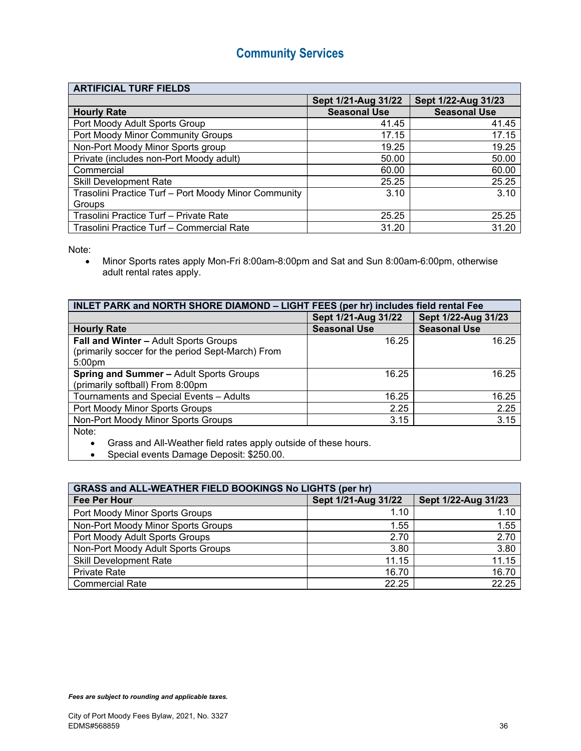#### **ARTIFICIAL TURF FIELDS**

|                                                      | Sept 1/21-Aug 31/22 | Sept 1/22-Aug 31/23 |
|------------------------------------------------------|---------------------|---------------------|
| <b>Hourly Rate</b>                                   | <b>Seasonal Use</b> | <b>Seasonal Use</b> |
| Port Moody Adult Sports Group                        | 41.45               | 41.45               |
| Port Moody Minor Community Groups                    | 17.15               | 17.15               |
| Non-Port Moody Minor Sports group                    | 19.25               | 19.25               |
| Private (includes non-Port Moody adult)              | 50.00               | 50.00               |
| Commercial                                           | 60.00               | 60.00               |
| <b>Skill Development Rate</b>                        | 25.25               | 25.25               |
| Trasolini Practice Turf - Port Moody Minor Community | 3.10                | 3.10                |
| Groups                                               |                     |                     |
| Trasolini Practice Turf - Private Rate               | 25.25               | 25.25               |
| Trasolini Practice Turf - Commercial Rate            | 31.20               | 31.20               |

Note:

 Minor Sports rates apply Mon-Fri 8:00am-8:00pm and Sat and Sun 8:00am-6:00pm, otherwise adult rental rates apply.

| INLET PARK and NORTH SHORE DIAMOND - LIGHT FEES (per hr) includes field rental Fee |                     |  |
|------------------------------------------------------------------------------------|---------------------|--|
| Sept 1/21-Aug 31/22                                                                | Sept 1/22-Aug 31/23 |  |
| <b>Seasonal Use</b>                                                                | <b>Seasonal Use</b> |  |
| 16.25                                                                              | 16.25               |  |
|                                                                                    |                     |  |
|                                                                                    |                     |  |
| 16.25                                                                              | 16.25               |  |
|                                                                                    |                     |  |
| 16.25                                                                              | 16.25               |  |
| 2.25                                                                               | 2.25                |  |
| 3.15                                                                               | 3.15                |  |
|                                                                                    |                     |  |
|                                                                                    |                     |  |

Grass and All-Weather field rates apply outside of these hours.

Special events Damage Deposit: \$250.00.

| <b>GRASS and ALL-WEATHER FIELD BOOKINGS No LIGHTS (per hr)</b> |                     |                     |  |
|----------------------------------------------------------------|---------------------|---------------------|--|
| <b>Fee Per Hour</b>                                            | Sept 1/21-Aug 31/22 | Sept 1/22-Aug 31/23 |  |
| Port Moody Minor Sports Groups                                 | 1.10                | 1.10                |  |
| Non-Port Moody Minor Sports Groups                             | 1.55                | 1.55                |  |
| Port Moody Adult Sports Groups                                 | 2.70                | 2.70                |  |
| Non-Port Moody Adult Sports Groups                             | 3.80                | 3.80                |  |
| <b>Skill Development Rate</b>                                  | 11.15               | 11.15               |  |
| <b>Private Rate</b>                                            | 16.70               | 16.70               |  |
| <b>Commercial Rate</b>                                         | 22.25               | 22.25               |  |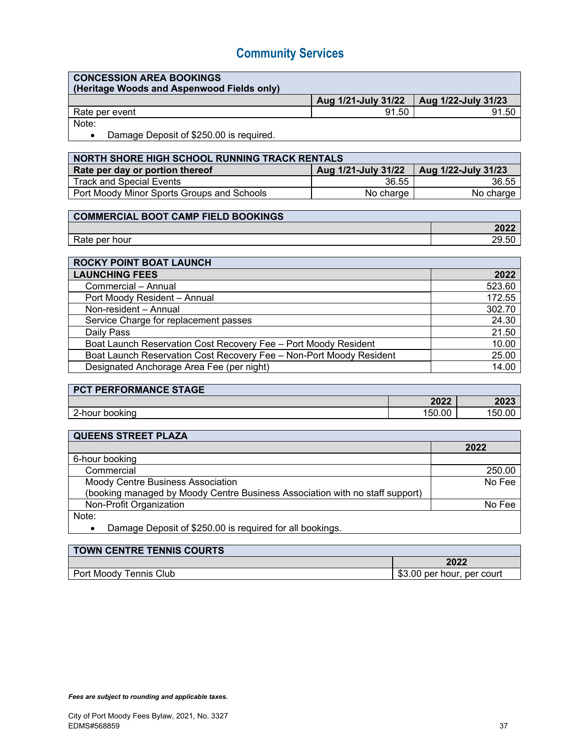### **CONCESSION AREA BOOKINGS**

| (Heritage Woods and Aspenwood Fields only) |                                           |       |
|--------------------------------------------|-------------------------------------------|-------|
|                                            | Aug 1/21-July 31/22   Aug 1/22-July 31/23 |       |
| Rate per event                             | 91.50                                     | 91.50 |
|                                            |                                           |       |

Note:

• Damage Deposit of \$250.00 is required.

| <b>NORTH SHORE HIGH SCHOOL RUNNING TRACK RENTALS</b> |                     |                             |
|------------------------------------------------------|---------------------|-----------------------------|
| Rate per day or portion thereof                      | Aug 1/21-July 31/22 | $\vert$ Aug 1/22-July 31/23 |
| <b>Track and Special Events</b>                      | 36.55               | 36.55                       |
| Port Moody Minor Sports Groups and Schools           | No charge           | No charge                   |

### **COMMERCIAL BOOT CAMP FIELD BOOKINGS**

| hour<br>per<br>. valt | ◟ |
|-----------------------|---|

| <b>ROCKY POINT BOAT LAUNCH</b>                                      |        |
|---------------------------------------------------------------------|--------|
| <b>LAUNCHING FEES</b>                                               | 2022   |
| Commercial - Annual                                                 | 523.60 |
| Port Moody Resident - Annual                                        | 172.55 |
| Non-resident - Annual                                               | 302.70 |
| Service Charge for replacement passes                               | 24.30  |
| Daily Pass                                                          | 21.50  |
| Boat Launch Reservation Cost Recovery Fee - Port Moody Resident     | 10.00  |
| Boat Launch Reservation Cost Recovery Fee - Non-Port Moody Resident | 25.00  |
| Designated Anchorage Area Fee (per night)                           | 14.00  |

| <b>PCT PERFORMANCE STAGE</b> |        |        |
|------------------------------|--------|--------|
|                              | 2022   | 2023   |
| 2-hour booking               | 150.00 | 150.00 |

| <b>QUEENS STREET PLAZA</b>                                                   |        |
|------------------------------------------------------------------------------|--------|
|                                                                              | 2022   |
| 6-hour booking                                                               |        |
| Commercial                                                                   | 250.00 |
| Moody Centre Business Association                                            | No Fee |
| (booking managed by Moody Centre Business Association with no staff support) |        |
| Non-Profit Organization                                                      | No Fee |
| Note:                                                                        |        |
| Damage Deposit of \$250.00 is required for all bookings.                     |        |
|                                                                              |        |

| <b>TOWN CENTRE TENNIS COURTS</b> |                            |
|----------------------------------|----------------------------|
|                                  | 2022                       |
| Port Moody Tennis Club           | \$3.00 per hour, per court |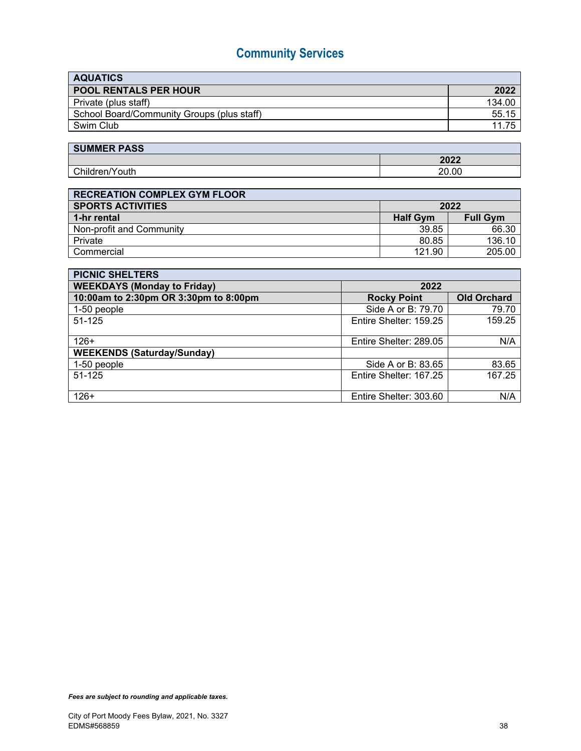| <b>AQUATICS</b>                            |        |
|--------------------------------------------|--------|
| <b>POOL RENTALS PER HOUR</b>               | 2022   |
| Private (plus staff)                       | 134.00 |
| School Board/Community Groups (plus staff) | 55.15  |
| Swim Club                                  | 11.75  |

| <b>SUMMER PASS</b> |       |
|--------------------|-------|
|                    | 2022  |
| Children/Youth     | 20.00 |

| <b>RECREATION COMPLEX GYM FLOOR</b> |                 |                 |  |
|-------------------------------------|-----------------|-----------------|--|
| SPORTS ACTIVITIES                   | 2022            |                 |  |
| 1-hr rental                         | <b>Half Gym</b> | <b>Full Gym</b> |  |
| Non-profit and Community            | 39.85           | 66.30           |  |
| Private                             | 80.85           | 136.10          |  |
| Commercial                          | 121.90          | 205.00          |  |

| <b>PICNIC SHELTERS</b>                |                        |                    |  |
|---------------------------------------|------------------------|--------------------|--|
| <b>WEEKDAYS (Monday to Friday)</b>    | 2022                   |                    |  |
| 10:00am to 2:30pm OR 3:30pm to 8:00pm | <b>Rocky Point</b>     | <b>Old Orchard</b> |  |
| 1-50 people                           | Side A or B: 79.70     | 79.70              |  |
| 51-125                                | Entire Shelter: 159.25 | 159.25             |  |
|                                       |                        |                    |  |
| $126+$                                | Entire Shelter: 289.05 | N/A                |  |
| <b>WEEKENDS (Saturday/Sunday)</b>     |                        |                    |  |
| 1-50 people                           | Side A or B: 83.65     | 83.65              |  |
| 51-125                                | Entire Shelter: 167.25 | 167.25             |  |
|                                       |                        |                    |  |
| $126+$                                | Entire Shelter: 303.60 | N/A                |  |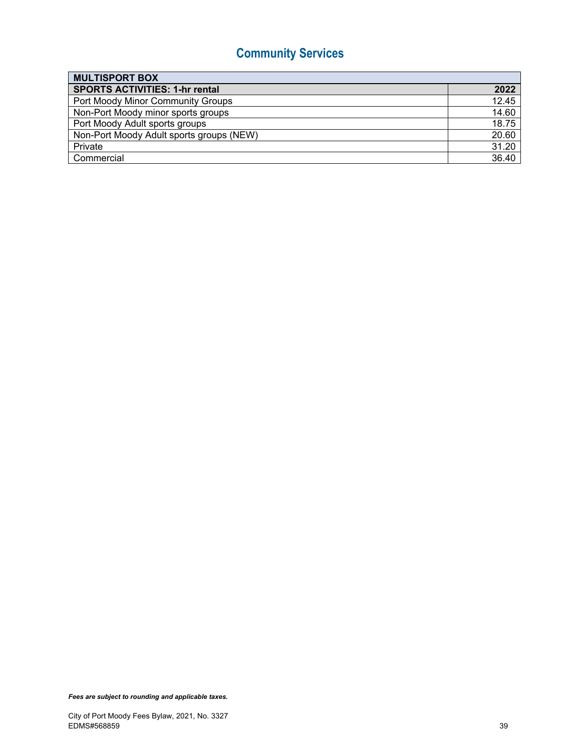| <b>MULTISPORT BOX</b>                    |       |
|------------------------------------------|-------|
| <b>SPORTS ACTIVITIES: 1-hr rental</b>    | 2022  |
| Port Moody Minor Community Groups        | 12.45 |
| Non-Port Moody minor sports groups       | 14.60 |
| Port Moody Adult sports groups           | 18.75 |
| Non-Port Moody Adult sports groups (NEW) | 20.60 |
| Private                                  | 31.20 |
| Commercial                               | 36.40 |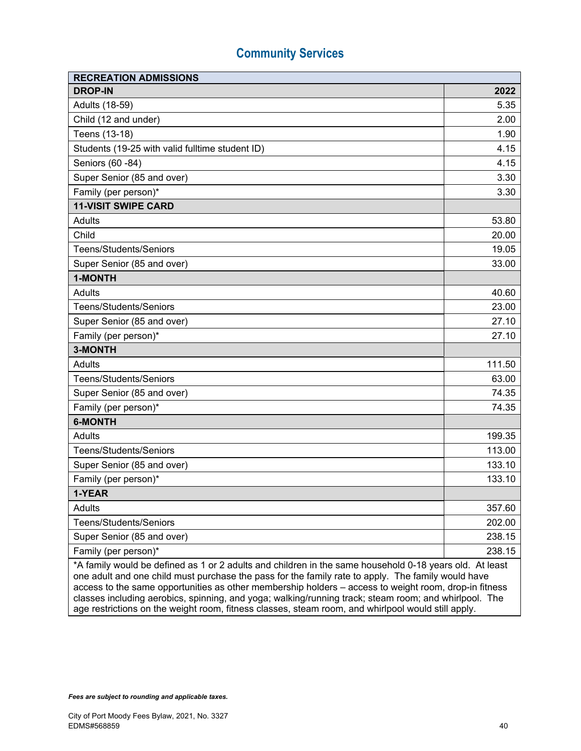| <b>RECREATION ADMISSIONS</b>                                                                                                                                                                                                                                                                                                                                                                                                    |        |  |
|---------------------------------------------------------------------------------------------------------------------------------------------------------------------------------------------------------------------------------------------------------------------------------------------------------------------------------------------------------------------------------------------------------------------------------|--------|--|
| <b>DROP-IN</b>                                                                                                                                                                                                                                                                                                                                                                                                                  | 2022   |  |
| Adults (18-59)                                                                                                                                                                                                                                                                                                                                                                                                                  | 5.35   |  |
| Child (12 and under)                                                                                                                                                                                                                                                                                                                                                                                                            | 2.00   |  |
| Teens (13-18)                                                                                                                                                                                                                                                                                                                                                                                                                   | 1.90   |  |
| Students (19-25 with valid fulltime student ID)                                                                                                                                                                                                                                                                                                                                                                                 | 4.15   |  |
| Seniors (60 - 84)                                                                                                                                                                                                                                                                                                                                                                                                               | 4.15   |  |
| Super Senior (85 and over)                                                                                                                                                                                                                                                                                                                                                                                                      | 3.30   |  |
| Family (per person)*                                                                                                                                                                                                                                                                                                                                                                                                            | 3.30   |  |
| <b>11-VISIT SWIPE CARD</b>                                                                                                                                                                                                                                                                                                                                                                                                      |        |  |
| Adults                                                                                                                                                                                                                                                                                                                                                                                                                          | 53.80  |  |
| Child                                                                                                                                                                                                                                                                                                                                                                                                                           | 20.00  |  |
| Teens/Students/Seniors                                                                                                                                                                                                                                                                                                                                                                                                          | 19.05  |  |
| Super Senior (85 and over)                                                                                                                                                                                                                                                                                                                                                                                                      | 33.00  |  |
| 1-MONTH                                                                                                                                                                                                                                                                                                                                                                                                                         |        |  |
| Adults                                                                                                                                                                                                                                                                                                                                                                                                                          | 40.60  |  |
| <b>Teens/Students/Seniors</b>                                                                                                                                                                                                                                                                                                                                                                                                   | 23.00  |  |
| Super Senior (85 and over)                                                                                                                                                                                                                                                                                                                                                                                                      | 27.10  |  |
| Family (per person)*                                                                                                                                                                                                                                                                                                                                                                                                            | 27.10  |  |
| 3-MONTH                                                                                                                                                                                                                                                                                                                                                                                                                         |        |  |
| <b>Adults</b>                                                                                                                                                                                                                                                                                                                                                                                                                   | 111.50 |  |
| <b>Teens/Students/Seniors</b>                                                                                                                                                                                                                                                                                                                                                                                                   | 63.00  |  |
| Super Senior (85 and over)                                                                                                                                                                                                                                                                                                                                                                                                      | 74.35  |  |
| Family (per person)*                                                                                                                                                                                                                                                                                                                                                                                                            | 74.35  |  |
| <b>6-MONTH</b>                                                                                                                                                                                                                                                                                                                                                                                                                  |        |  |
| Adults                                                                                                                                                                                                                                                                                                                                                                                                                          | 199.35 |  |
| <b>Teens/Students/Seniors</b>                                                                                                                                                                                                                                                                                                                                                                                                   | 113.00 |  |
| Super Senior (85 and over)                                                                                                                                                                                                                                                                                                                                                                                                      | 133.10 |  |
| Family (per person)*                                                                                                                                                                                                                                                                                                                                                                                                            | 133.10 |  |
| 1-YEAR                                                                                                                                                                                                                                                                                                                                                                                                                          |        |  |
| Adults                                                                                                                                                                                                                                                                                                                                                                                                                          | 357.60 |  |
| Teens/Students/Seniors                                                                                                                                                                                                                                                                                                                                                                                                          | 202.00 |  |
| Super Senior (85 and over)                                                                                                                                                                                                                                                                                                                                                                                                      | 238.15 |  |
| Family (per person)*                                                                                                                                                                                                                                                                                                                                                                                                            | 238.15 |  |
| *A family would be defined as 1 or 2 adults and children in the same household 0-18 years old. At least<br>one adult and one child must purchase the pass for the family rate to apply. The family would have<br>access to the same opportunities as other membership holders - access to weight room, drop-in fitness<br>classes including aerobics, spinning, and yoga; walking/running track; steam room; and whirlpool. The |        |  |

age restrictions on the weight room, fitness classes, steam room, and whirlpool would still apply.